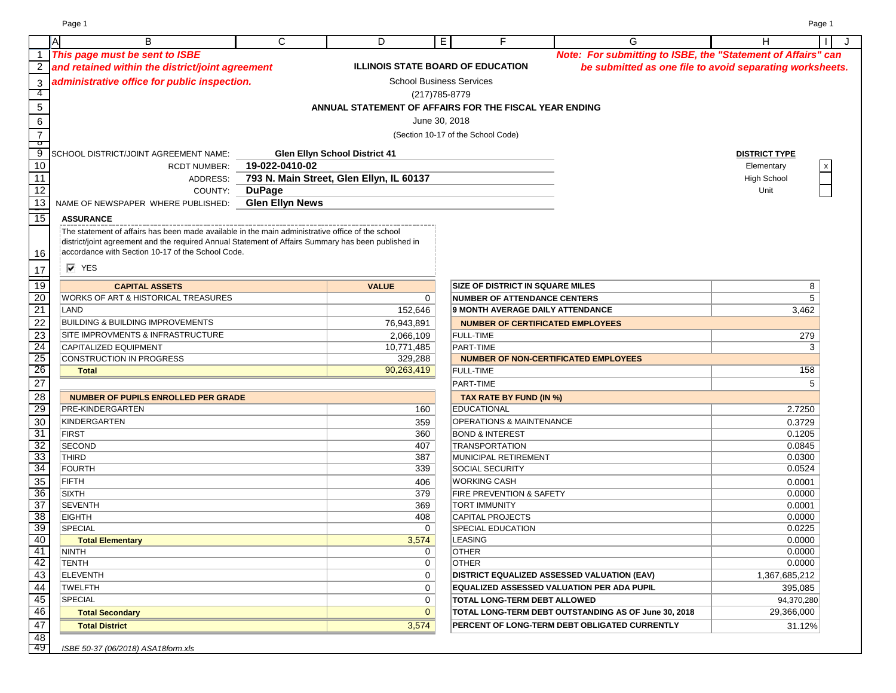|                           | A | B                                                                                                   | C                      | D                                                      | E. | F                                           | G                                                            | н                    | J. |
|---------------------------|---|-----------------------------------------------------------------------------------------------------|------------------------|--------------------------------------------------------|----|---------------------------------------------|--------------------------------------------------------------|----------------------|----|
| $\mathbf 1$               |   | This page must be sent to ISBE                                                                      |                        |                                                        |    |                                             | Note: For submitting to ISBE, the "Statement of Affairs" can |                      |    |
| $\overline{2}$            |   | and retained within the district/joint agreement                                                    |                        | <b>ILLINOIS STATE BOARD OF EDUCATION</b>               |    |                                             | be submitted as one file to avoid separating worksheets.     |                      |    |
| $\ensuremath{\mathsf{3}}$ |   | administrative office for public inspection.                                                        |                        | <b>School Business Services</b>                        |    |                                             |                                                              |                      |    |
| -4                        |   |                                                                                                     |                        | (217) 785-8779                                         |    |                                             |                                                              |                      |    |
| $\overline{5}$            |   |                                                                                                     |                        | ANNUAL STATEMENT OF AFFAIRS FOR THE FISCAL YEAR ENDING |    |                                             |                                                              |                      |    |
| 6                         |   |                                                                                                     |                        | June 30, 2018                                          |    |                                             |                                                              |                      |    |
|                           |   |                                                                                                     |                        |                                                        |    |                                             |                                                              |                      |    |
| $\overline{7}$<br>ு       |   |                                                                                                     |                        |                                                        |    | (Section 10-17 of the School Code)          |                                                              |                      |    |
| 9                         |   | SCHOOL DISTRICT/JOINT AGREEMENT NAME:                                                               |                        | <b>Glen Ellyn School District 41</b>                   |    |                                             |                                                              | <b>DISTRICT TYPE</b> |    |
| 10                        |   | <b>RCDT NUMBER:</b>                                                                                 | 19-022-0410-02         |                                                        |    |                                             |                                                              | Elementary           |    |
| 11                        |   | ADDRESS:                                                                                            |                        | 793 N. Main Street, Glen Ellyn, IL 60137               |    |                                             |                                                              | <b>High School</b>   |    |
| 12                        |   | COUNTY:                                                                                             | <b>DuPage</b>          |                                                        |    |                                             |                                                              | Unit                 |    |
| 13                        |   | NAME OF NEWSPAPER WHERE PUBLISHED:                                                                  | <b>Glen Ellyn News</b> |                                                        |    |                                             |                                                              |                      |    |
| 15                        |   | <b>ASSURANCE</b>                                                                                    |                        |                                                        |    |                                             |                                                              |                      |    |
|                           |   | The statement of affairs has been made available in the main administrative office of the school    |                        |                                                        |    |                                             |                                                              |                      |    |
|                           |   | district/joint agreement and the required Annual Statement of Affairs Summary has been published in |                        |                                                        |    |                                             |                                                              |                      |    |
| 16                        |   | accordance with Section 10-17 of the School Code.                                                   |                        |                                                        |    |                                             |                                                              |                      |    |
|                           |   | $\overline{V}$ YES                                                                                  |                        |                                                        |    |                                             |                                                              |                      |    |
| 17                        |   |                                                                                                     |                        |                                                        |    |                                             |                                                              |                      |    |
| 19                        |   | <b>CAPITAL ASSETS</b>                                                                               |                        | <b>VALUE</b>                                           |    | <b>SIZE OF DISTRICT IN SQUARE MILES</b>     |                                                              | 8                    |    |
| 20                        |   | WORKS OF ART & HISTORICAL TREASURES                                                                 |                        | 0                                                      |    | <b>NUMBER OF ATTENDANCE CENTERS</b>         |                                                              | 5                    |    |
| 21                        |   | LAND                                                                                                |                        | 152,646                                                |    | <b>9 MONTH AVERAGE DAILY ATTENDANCE</b>     |                                                              | 3,462                |    |
| $\overline{22}$           |   | <b>BUILDING &amp; BUILDING IMPROVEMENTS</b>                                                         |                        | 76,943,891                                             |    | <b>NUMBER OF CERTIFICATED EMPLOYEES</b>     |                                                              |                      |    |
| 23                        |   | SITE IMPROVMENTS & INFRASTRUCTURE                                                                   |                        | 2,066,109                                              |    | <b>FULL-TIME</b>                            |                                                              | 279                  |    |
| 24                        |   | CAPITALIZED EQUIPMENT                                                                               |                        | 10,771,485                                             |    | PART-TIME                                   |                                                              | 3                    |    |
| 25                        |   | CONSTRUCTION IN PROGRESS                                                                            |                        | 329,288                                                |    | <b>NUMBER OF NON-CERTIFICATED EMPLOYEES</b> |                                                              |                      |    |
| 26                        |   | <b>Total</b>                                                                                        |                        | 90,263,419                                             |    | <b>FULL-TIME</b>                            |                                                              | 158                  |    |
| $\overline{27}$           |   |                                                                                                     |                        |                                                        |    | PART-TIME                                   |                                                              | 5                    |    |
| 28                        |   | <b>NUMBER OF PUPILS ENROLLED PER GRADE</b>                                                          |                        |                                                        |    | TAX RATE BY FUND (IN %)                     |                                                              |                      |    |
| 29                        |   | PRE-KINDERGARTEN                                                                                    |                        | 160                                                    |    | <b>EDUCATIONAL</b>                          |                                                              | 2.7250               |    |
| 30                        |   | KINDERGARTEN                                                                                        |                        | 359                                                    |    | <b>OPERATIONS &amp; MAINTENANCE</b>         |                                                              | 0.3729               |    |
| 31                        |   | <b>FIRST</b>                                                                                        |                        | 360                                                    |    | <b>BOND &amp; INTEREST</b>                  |                                                              | 0.1205               |    |
| 32                        |   | <b>SECOND</b>                                                                                       |                        | 407                                                    |    | <b>TRANSPORTATION</b>                       |                                                              | 0.0845               |    |
| 33                        |   | <b>THIRD</b>                                                                                        |                        | 387                                                    |    | MUNICIPAL RETIREMENT                        |                                                              | 0.0300               |    |
| 34                        |   | <b>FOURTH</b>                                                                                       |                        | 339                                                    |    | <b>SOCIAL SECURITY</b>                      |                                                              | 0.0524               |    |
| 35                        |   | <b>FIFTH</b>                                                                                        |                        | 406                                                    |    | <b>WORKING CASH</b>                         |                                                              | 0.0001               |    |
| 36                        |   | <b>SIXTH</b>                                                                                        |                        | 379                                                    |    | FIRE PREVENTION & SAFETY                    |                                                              | 0.0000               |    |
| 37                        |   | <b>SEVENTH</b>                                                                                      |                        | 369                                                    |    | <b>TORT IMMUNITY</b>                        |                                                              | 0.0001               |    |
| 38<br>39                  |   | <b>EIGHTH</b><br><b>SPECIAL</b>                                                                     |                        | 408                                                    |    | <b>CAPITAL PROJECTS</b>                     |                                                              | 0.0000<br>0.0225     |    |
| 40                        |   |                                                                                                     |                        | $\mathbf 0$<br>3,574                                   |    | <b>SPECIAL EDUCATION</b><br><b>LEASING</b>  |                                                              | 0.0000               |    |
| 41                        |   | <b>Total Elementary</b><br><b>NINTH</b>                                                             |                        | 0                                                      |    | OTHER                                       |                                                              | 0.0000               |    |
| 42                        |   | TENTH                                                                                               |                        | 0                                                      |    | <b>OTHER</b>                                |                                                              | 0.0000               |    |
| 43                        |   | <b>ELEVENTH</b>                                                                                     |                        | 0                                                      |    | DISTRICT EQUALIZED ASSESSED VALUATION (EAV) |                                                              | 1,367,685,212        |    |
| $\overline{44}$           |   | TWELFTH                                                                                             |                        | 0                                                      |    |                                             | EQUALIZED ASSESSED VALUATION PER ADA PUPIL                   | 395,085              |    |
| 45                        |   | SPECIAL                                                                                             |                        | 0                                                      |    | TOTAL LONG-TERM DEBT ALLOWED                |                                                              | 94,370,280           |    |
| 46                        |   | <b>Total Secondary</b>                                                                              |                        | $\mathbf{0}$                                           |    |                                             | TOTAL LONG-TERM DEBT OUTSTANDING AS OF June 30, 2018         | 29,366,000           |    |
| $\overline{47}$           |   |                                                                                                     |                        | 3,574                                                  |    |                                             | PERCENT OF LONG-TERM DEBT OBLIGATED CURRENTLY                |                      |    |
| 48                        |   | <b>Total District</b>                                                                               |                        |                                                        |    |                                             |                                                              | 31.12%               |    |
| -49                       |   | ISBE 50-37 (06/2018) ASA18form.xls                                                                  |                        |                                                        |    |                                             |                                                              |                      |    |

Page 1 Page 1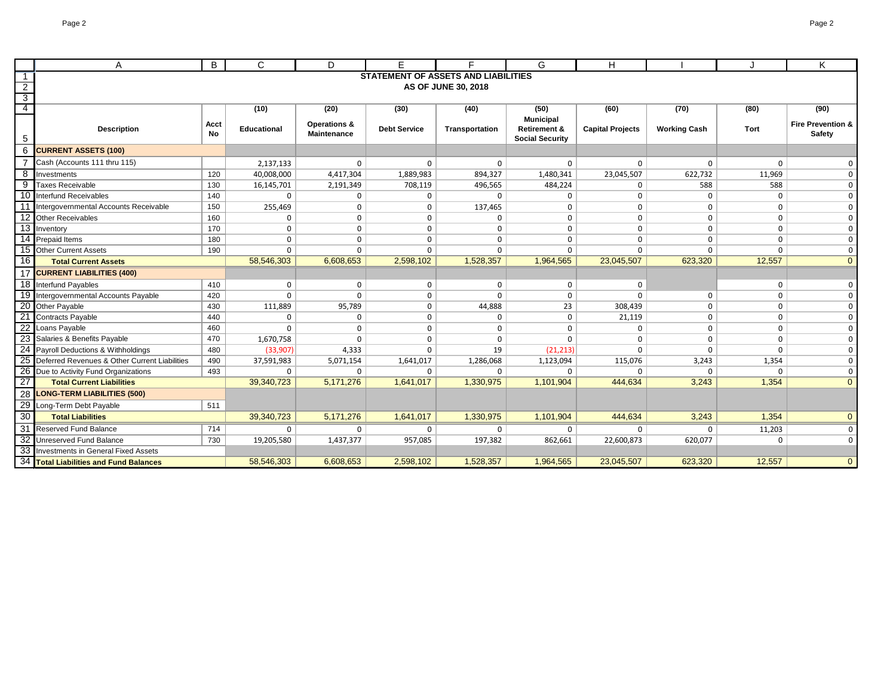|                 | A                                             | B          | C           | D                                             | F                                          | Е                   | G                                                                     | н                       |                     |              | K                                      |
|-----------------|-----------------------------------------------|------------|-------------|-----------------------------------------------|--------------------------------------------|---------------------|-----------------------------------------------------------------------|-------------------------|---------------------|--------------|----------------------------------------|
|                 |                                               |            |             |                                               | <b>STATEMENT OF ASSETS AND LIABILITIES</b> |                     |                                                                       |                         |                     |              |                                        |
| $\overline{2}$  |                                               |            |             |                                               |                                            | AS OF JUNE 30, 2018 |                                                                       |                         |                     |              |                                        |
| $\overline{3}$  |                                               |            |             |                                               |                                            |                     |                                                                       |                         |                     |              |                                        |
| $\overline{4}$  |                                               |            | (10)        | (20)                                          | (30)                                       | (40)                | (50)                                                                  | (60)                    | (70)                | (80)         | (90)                                   |
| 5               | <b>Description</b>                            | Acct<br>No | Educational | <b>Operations &amp;</b><br><b>Maintenance</b> | <b>Debt Service</b>                        | Transportation      | <b>Municipal</b><br><b>Retirement &amp;</b><br><b>Social Security</b> | <b>Capital Projects</b> | <b>Working Cash</b> | Tort         | <b>Fire Prevention &amp;</b><br>Safety |
| 6               | <b>CURRENT ASSETS (100)</b>                   |            |             |                                               |                                            |                     |                                                                       |                         |                     |              |                                        |
|                 | Cash (Accounts 111 thru 115)                  |            | 2,137,133   | $\Omega$                                      | $\Omega$                                   | $\Omega$            | $\mathbf 0$                                                           | $\mathbf 0$             | $\Omega$            | $\Omega$     | $\mathbf 0$                            |
| 8               | Investments                                   | 120        | 40,008,000  | 4,417,304                                     | 1,889,983                                  | 894,327             | 1,480,341                                                             | 23,045,507              | 622,732             | 11,969       | $\mathbf 0$                            |
| 9               | <b>Taxes Receivable</b>                       | 130        | 16,145,701  | 2,191,349                                     | 708,119                                    | 496,565             | 484,224                                                               | $\mathbf{0}$            | 588                 | 588          | $\mathbf{0}$                           |
| 10              | Interfund Receivables                         | 140        | $\mathbf 0$ | 0                                             | 0                                          | $\Omega$            | $\mathbf{0}$                                                          | $\mathbf{0}$            | $\mathbf 0$         | 0            | $\mathbf 0$                            |
|                 | Intergovernmental Accounts Receivable         | 150        | 255,469     | 0                                             | $\Omega$                                   | 137,465             | $\mathbf 0$                                                           | $\mathbf{0}$            | $\Omega$            | 0            | $\mathbf 0$                            |
| 12              | <b>Other Receivables</b>                      | 160        | $\mathbf 0$ | 0                                             | 0                                          | $\mathbf{0}$        | $\mathbf 0$                                                           | $\mathbf{0}$            | $\mathbf 0$         | 0            | $\mathbf{0}$                           |
| 13              | Inventory                                     | 170        | $\mathbf 0$ | $\mathbf 0$                                   | $\Omega$                                   | $\Omega$            | $\mathbf{0}$                                                          | $\mathbf{0}$            | $\Omega$            | 0            | $\mathbf 0$                            |
| 14              | <b>Prepaid Items</b>                          | 180        | $\mathbf 0$ | $\mathbf 0$                                   | $\Omega$                                   | $\Omega$            | $\mathbf 0$                                                           | $\mathbf 0$             | $\Omega$            | $\Omega$     | $\mathbf 0$                            |
|                 | 15 Other Current Assets                       | 190        | $\mathbf 0$ | $\Omega$                                      | $\Omega$                                   | $\Omega$            | $\mathbf 0$                                                           | $\Omega$                | $\Omega$            | $\Omega$     | $\mathbf{0}$                           |
| 16              | <b>Total Current Assets</b>                   |            | 58,546,303  | 6,608,653                                     | 2,598,102                                  | 1,528,357           | 1,964,565                                                             | 23,045,507              | 623,320             | 12,557       | $\overline{0}$                         |
| 17              | <b>CURRENT LIABILITIES (400)</b>              |            |             |                                               |                                            |                     |                                                                       |                         |                     |              |                                        |
|                 | 18 Interfund Payables                         | 410        | $\mathbf 0$ | 0                                             | $\mathbf 0$                                | $\mathbf 0$         | $\mathbf 0$                                                           | 0                       |                     | $\mathbf 0$  | $\mathbf 0$                            |
|                 | 19 Intergovernmental Accounts Payable         | 420        | $\Omega$    | $\Omega$                                      | $\Omega$                                   | $\Omega$            | $\mathbf 0$                                                           | $\Omega$                | $\Omega$            | 0            | $\mathbf 0$                            |
|                 | 20 Other Payable                              | 430        | 111,889     | 95,789                                        | $\Omega$                                   | 44,888              | 23                                                                    | 308,439                 | $\Omega$            | 0            | $\mathbf 0$                            |
|                 | Contracts Payable                             | 440        | 0           | $\mathbf 0$                                   | 0                                          | $\mathbf{0}$        | $\mathbf 0$                                                           | 21,119                  | $\mathbf 0$         | 0            | $\mathbf 0$                            |
| 22              | Loans Payable                                 | 460        | $\Omega$    | $\mathbf 0$                                   | $\Omega$                                   | $\Omega$            | $\mathbf 0$                                                           | $\mathbf 0$             | $\mathbf 0$         | 0            | $\mathbf 0$                            |
|                 | Salaries & Benefits Payable                   | 470        | 1,670,758   | $\Omega$                                      | $\Omega$                                   | $\Omega$            | $\mathbf{0}$                                                          | $\mathbf 0$             | 0                   | 0            | $\mathbf 0$                            |
|                 | 24 Payroll Deductions & Withholdings          | 480        | (33,907)    | 4,333                                         | $\Omega$                                   | 19                  | (21, 213)                                                             | $\Omega$                | $\Omega$            | $\Omega$     | $\mathbf 0$                            |
|                 | Deferred Revenues & Other Current Liabilities | 490        | 37,591,983  | 5,071,154                                     | 1,641,017                                  | 1,286,068           | 1,123,094                                                             | 115,076                 | 3,243               | 1,354        | $\mathbf 0$                            |
| 26              | Due to Activity Fund Organizations            | 493        | $\mathbf 0$ | $\Omega$                                      | $\Omega$                                   | $\Omega$            | $\mathbf 0$                                                           | $\Omega$                | $\Omega$            | <sup>n</sup> | $\mathbf{0}$                           |
| $\overline{27}$ | <b>Total Current Liabilities</b>              |            | 39,340,723  | 5,171,276                                     | 1,641,017                                  | 1,330,975           | 1,101,904                                                             | 444,634                 | 3,243               | 1,354        | $\overline{0}$                         |
| 28              | <b>LONG-TERM LIABILITIES (500)</b>            |            |             |                                               |                                            |                     |                                                                       |                         |                     |              |                                        |
| 29              | Long-Term Debt Payable                        | 511        |             |                                               |                                            |                     |                                                                       |                         |                     |              |                                        |
| 30              | <b>Total Liabilities</b>                      |            | 39,340,723  | 5,171,276                                     | 1,641,017                                  | 1,330,975           | 1,101,904                                                             | 444,634                 | 3,243               | 1,354        | $\overline{0}$                         |
|                 | 31 Reserved Fund Balance                      | 714        | $\mathbf 0$ | 0                                             | 0                                          | $\Omega$            | $\mathbf{0}$                                                          | $\mathbf 0$             | $\Omega$            | 11,203       | $\mathbf{0}$                           |
|                 | 32 Unreserved Fund Balance                    | 730        | 19,205,580  | 1,437,377                                     | 957,085                                    | 197,382             | 862,661                                                               | 22,600,873              | 620,077             |              | $\mathbf 0$                            |
|                 | 33 Investments in General Fixed Assets        |            |             |                                               |                                            |                     |                                                                       |                         |                     |              |                                        |
|                 | 34 Total Liabilities and Fund Balances        |            | 58,546,303  | 6,608,653                                     | 2,598,102                                  | 1,528,357           | 1,964,565                                                             | 23,045,507              | 623,320             | 12,557       | $\overline{0}$                         |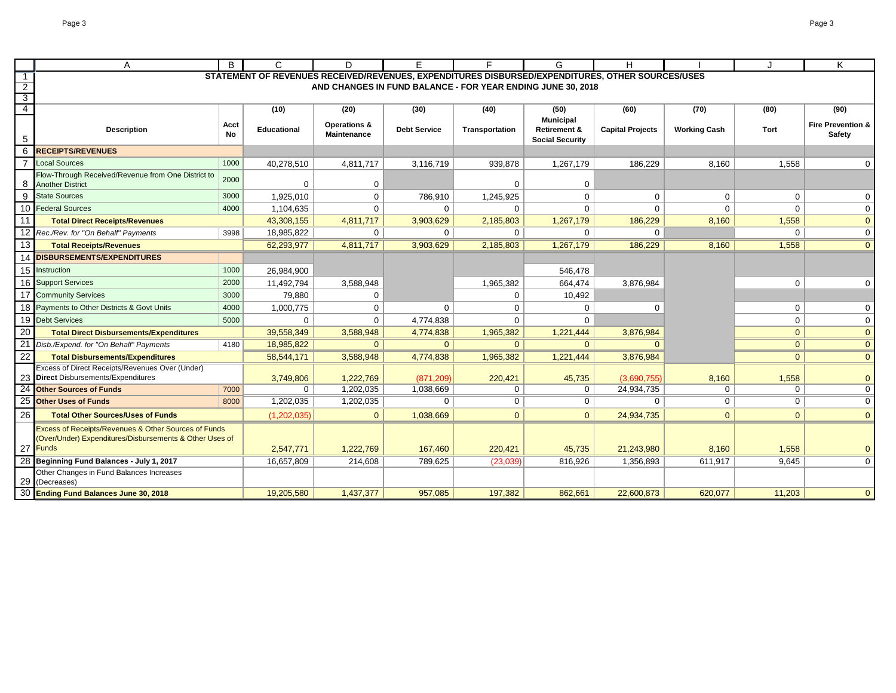|                                  | A                                                                   | B                 | C                  | D                                             |                     |                                                             | G                                                 | н                                                                                                |                     |                | Κ                                      |
|----------------------------------|---------------------------------------------------------------------|-------------------|--------------------|-----------------------------------------------|---------------------|-------------------------------------------------------------|---------------------------------------------------|--------------------------------------------------------------------------------------------------|---------------------|----------------|----------------------------------------|
| -1                               |                                                                     |                   |                    |                                               |                     |                                                             |                                                   | STATEMENT OF REVENUES RECEIVED/REVENUES, EXPENDITURES DISBURSED/EXPENDITURES, OTHER SOURCES/USES |                     |                |                                        |
| $\overline{2}$                   |                                                                     |                   |                    |                                               |                     | AND CHANGES IN FUND BALANCE - FOR YEAR ENDING JUNE 30, 2018 |                                                   |                                                                                                  |                     |                |                                        |
| $\overline{3}$<br>$\overline{4}$ |                                                                     |                   |                    |                                               |                     |                                                             |                                                   |                                                                                                  |                     |                |                                        |
|                                  |                                                                     |                   | (10)               | (20)                                          | (30)                | (40)                                                        | (50)<br><b>Municipal</b>                          | (60)                                                                                             | (70)                | (80)           | (90)                                   |
|                                  | <b>Description</b>                                                  | Acct<br><b>No</b> | <b>Educational</b> | <b>Operations &amp;</b><br><b>Maintenance</b> | <b>Debt Service</b> | Transportation                                              | <b>Retirement &amp;</b><br><b>Social Security</b> | <b>Capital Projects</b>                                                                          | <b>Working Cash</b> | Tort           | <b>Fire Prevention &amp;</b><br>Safety |
| 6                                | <b>RECEIPTS/REVENUES</b>                                            |                   |                    |                                               |                     |                                                             |                                                   |                                                                                                  |                     |                |                                        |
|                                  | <b>Local Sources</b>                                                | 1000              | 40,278,510         | 4,811,717                                     | 3,116,719           | 939,878                                                     | 1,267,179                                         | 186,229                                                                                          | 8,160               | 1,558          | $\mathbf 0$                            |
|                                  | Flow-Through Received/Revenue from One District to                  | 2000              |                    |                                               |                     |                                                             |                                                   |                                                                                                  |                     |                |                                        |
| 8                                | <b>Another District</b>                                             |                   | 0                  | 0                                             |                     | $\Omega$                                                    | 0                                                 |                                                                                                  |                     |                |                                        |
| 9                                | <b>State Sources</b>                                                | 3000              | 1,925,010          | $\mathbf 0$                                   | 786,910             | 1,245,925                                                   | 0                                                 | $\mathbf{0}$                                                                                     | $\mathbf 0$         | $\mathbf 0$    | $\overline{0}$                         |
| 10                               | <b>Federal Sources</b>                                              | 4000              | 1.104.635          | $\mathbf 0$                                   | $\Omega$            | $\Omega$                                                    | $\Omega$                                          | $\Omega$                                                                                         | $\Omega$            | $\Omega$       | $\mathbf 0$                            |
| 11                               | <b>Total Direct Receipts/Revenues</b>                               |                   | 43.308.155         | 4,811,717                                     | 3,903,629           | 2,185,803                                                   | 1,267,179                                         | 186,229                                                                                          | 8,160               | 1,558          | $\overline{0}$                         |
|                                  | 12 Rec./Rev. for "On Behalf" Payments                               | 3998              | 18,985,822         | $\mathbf{0}$                                  | $\Omega$            | $\Omega$                                                    | $\Omega$                                          | $\Omega$                                                                                         |                     | $\Omega$       | $\overline{0}$                         |
| 13                               | <b>Total Receipts/Revenues</b>                                      |                   | 62,293,977         | 4,811,717                                     | 3,903,629           | 2,185,803                                                   | 1,267,179                                         | 186,229                                                                                          | 8,160               | 1,558          | $\overline{0}$                         |
|                                  | 14 DISBURSEMENTS/EXPENDITURES                                       |                   |                    |                                               |                     |                                                             |                                                   |                                                                                                  |                     |                |                                        |
|                                  | 15 Instruction                                                      | 1000              | 26,984,900         |                                               |                     |                                                             | 546,478                                           |                                                                                                  |                     |                |                                        |
| 16                               | <b>Support Services</b>                                             | 2000              | 11,492,794         | 3,588,948                                     |                     | 1,965,382                                                   | 664,474                                           | 3,876,984                                                                                        |                     | $\mathbf 0$    | $\mathbf 0$                            |
| 17                               | <b>Community Services</b>                                           | 3000              | 79,880             | $\mathbf 0$                                   |                     | $\mathbf 0$                                                 | 10,492                                            |                                                                                                  |                     |                |                                        |
| 18                               | Payments to Other Districts & Govt Units                            | 4000              | 1,000,775          | $\mathbf 0$                                   | $\mathbf 0$         | $\mathbf 0$                                                 | $\Omega$                                          |                                                                                                  |                     | $\mathbf 0$    | 0                                      |
|                                  | 19 Debt Services                                                    | 5000              | 0                  | $\mathbf 0$                                   | 4,774,838           | $\mathbf 0$                                                 | $\Omega$                                          |                                                                                                  |                     | $\mathbf 0$    | $\mathbf 0$                            |
| 20                               | <b>Total Direct Disbursements/Expenditures</b>                      |                   | 39,558,349         | 3,588,948                                     | 4,774,838           | 1,965,382                                                   | 1,221,444                                         | 3,876,984                                                                                        |                     | $\overline{0}$ | $\overline{0}$                         |
|                                  | Disb./Expend. for "On Behalf" Payments                              | 4180              | 18,985,822         | $\mathbf{0}$                                  | $\Omega$            | $\mathbf{0}$                                                | $\mathbf{0}$                                      |                                                                                                  |                     | $\mathbf{0}$   | $\overline{0}$                         |
| 22                               | <b>Total Disbursements/Expenditures</b>                             |                   | 58,544,171         | 3,588,948                                     | 4,774,838           | 1,965,382                                                   | 1,221,444                                         | 3,876,984                                                                                        |                     | $\Omega$       | $\overline{0}$                         |
|                                  | Excess of Direct Receipts/Revenues Over (Under)                     |                   |                    |                                               |                     |                                                             |                                                   |                                                                                                  |                     |                |                                        |
|                                  | 23 Direct Disbursements/Expenditures                                |                   | 3,749,806          | 1,222,769                                     | (871, 209)          | 220,421                                                     | 45,735                                            | (3,690,755)                                                                                      | 8,160               | 1,558          | $\mathbf{0}$                           |
|                                  | <b>Other Sources of Funds</b>                                       | 7000              | 0                  | 1,202,035                                     | 1,038,669           | $\mathbf 0$                                                 | 0                                                 | 24,934,735                                                                                       | $\mathbf{0}$        | 0              | $\overline{0}$                         |
| 25                               | <b>Other Uses of Funds</b>                                          | 8000              | 1,202,035          | 1,202,035                                     | $\mathbf 0$         | 0                                                           | 0                                                 | $\Omega$                                                                                         | $\mathbf{0}$        | 0              | $\mathbf 0$                            |
| 26                               | <b>Total Other Sources/Uses of Funds</b>                            |                   | (1,202,035)        | $\mathbf{0}$                                  | 1,038,669           | $\overline{0}$                                              | $\mathbf{0}$                                      | 24,934,735                                                                                       | $\overline{0}$      | $\mathbf{0}$   | $\overline{0}$                         |
|                                  | Excess of Receipts/Revenues & Other Sources of Funds                |                   |                    |                                               |                     |                                                             |                                                   |                                                                                                  |                     |                |                                        |
|                                  | (Over/Under) Expenditures/Disbursements & Other Uses of<br>27 Funds |                   | 2,547,771          | 1,222,769                                     | 167,460             | 220,421                                                     | 45,735                                            | 21,243,980                                                                                       | 8,160               | 1,558          | $\mathbf{0}$                           |
|                                  | Beginning Fund Balances - July 1, 2017                              |                   | 16,657,809         | 214,608                                       | 789,625             | (23,039)                                                    | 816,926                                           | 1,356,893                                                                                        | 611,917             | 9,645          | $\mathbf 0$                            |
|                                  | Other Changes in Fund Balances Increases                            |                   |                    |                                               |                     |                                                             |                                                   |                                                                                                  |                     |                |                                        |
| 29                               | (Decreases)                                                         |                   |                    |                                               |                     |                                                             |                                                   |                                                                                                  |                     |                |                                        |
|                                  | <b>Ending Fund Balances June 30, 2018</b>                           |                   | 19,205,580         | 1,437,377                                     | 957,085             | 197,382                                                     | 862,661                                           | 22,600,873                                                                                       | 620,077             | 11,203         | $\overline{0}$                         |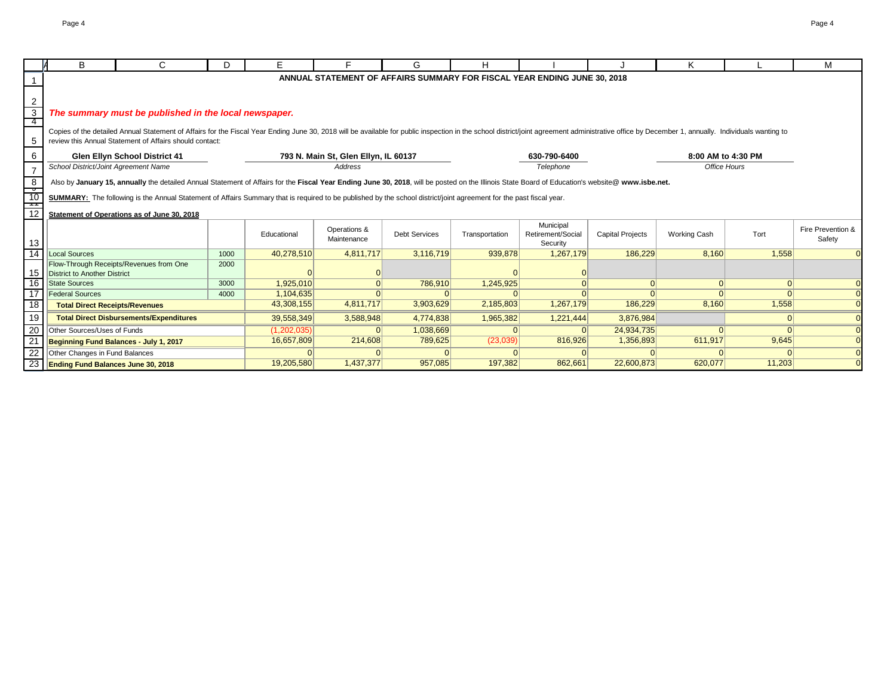|                  | B                                                                                                                                                                                                | C.                                                                                                                                                                                                                                                                                        | D.   | Е           |                                      | G                    | н              |                                                                          |                         | Κ                   |          | м                 |
|------------------|--------------------------------------------------------------------------------------------------------------------------------------------------------------------------------------------------|-------------------------------------------------------------------------------------------------------------------------------------------------------------------------------------------------------------------------------------------------------------------------------------------|------|-------------|--------------------------------------|----------------------|----------------|--------------------------------------------------------------------------|-------------------------|---------------------|----------|-------------------|
|                  |                                                                                                                                                                                                  |                                                                                                                                                                                                                                                                                           |      |             |                                      |                      |                | ANNUAL STATEMENT OF AFFAIRS SUMMARY FOR FISCAL YEAR ENDING JUNE 30, 2018 |                         |                     |          |                   |
|                  |                                                                                                                                                                                                  |                                                                                                                                                                                                                                                                                           |      |             |                                      |                      |                |                                                                          |                         |                     |          |                   |
| $\boldsymbol{2}$ |                                                                                                                                                                                                  |                                                                                                                                                                                                                                                                                           |      |             |                                      |                      |                |                                                                          |                         |                     |          |                   |
| $\overline{3}$   |                                                                                                                                                                                                  | The summary must be published in the local newspaper.                                                                                                                                                                                                                                     |      |             |                                      |                      |                |                                                                          |                         |                     |          |                   |
| 4                |                                                                                                                                                                                                  |                                                                                                                                                                                                                                                                                           |      |             |                                      |                      |                |                                                                          |                         |                     |          |                   |
| 5                |                                                                                                                                                                                                  | Copies of the detailed Annual Statement of Affairs for the Fiscal Year Ending June 30, 2018 will be available for public inspection in the school district/joint agreement administrative office by December 1, annually. Indi<br>review this Annual Statement of Affairs should contact: |      |             |                                      |                      |                |                                                                          |                         |                     |          |                   |
|                  |                                                                                                                                                                                                  |                                                                                                                                                                                                                                                                                           |      |             |                                      |                      |                |                                                                          |                         |                     |          |                   |
| 6                |                                                                                                                                                                                                  | Glen Ellyn School District 41                                                                                                                                                                                                                                                             |      |             | 793 N. Main St, Glen Ellyn, IL 60137 |                      |                | 630-790-6400                                                             |                         | 8:00 AM to 4:30 PM  |          |                   |
| $\overline{7}$   | School District/Joint Agreement Name                                                                                                                                                             |                                                                                                                                                                                                                                                                                           |      |             | Address                              |                      |                | Telephone                                                                |                         | Office Hours        |          |                   |
|                  | Also by January 15, annually the detailed Annual Statement of Affairs for the Fiscal Year Ending June 30, 2018, will be posted on the Illinois State Board of Education's website@ www.isbe.net. |                                                                                                                                                                                                                                                                                           |      |             |                                      |                      |                |                                                                          |                         |                     |          |                   |
| $rac{8}{10}$     |                                                                                                                                                                                                  | SUMMARY: The following is the Annual Statement of Affairs Summary that is required to be published by the school district/joint agreement for the past fiscal year.                                                                                                                       |      |             |                                      |                      |                |                                                                          |                         |                     |          |                   |
| $\frac{1}{12}$   |                                                                                                                                                                                                  |                                                                                                                                                                                                                                                                                           |      |             |                                      |                      |                |                                                                          |                         |                     |          |                   |
|                  |                                                                                                                                                                                                  | Statement of Operations as of June 30, 2018                                                                                                                                                                                                                                               |      |             |                                      |                      |                |                                                                          |                         |                     |          |                   |
|                  |                                                                                                                                                                                                  |                                                                                                                                                                                                                                                                                           |      | Educational | Operations &                         | <b>Debt Services</b> | Transportation | Municipal<br>Retirement/Social                                           | <b>Capital Projects</b> | <b>Working Cash</b> | Tort     | Fire Prevention & |
| 13               |                                                                                                                                                                                                  |                                                                                                                                                                                                                                                                                           |      |             | Maintenance                          |                      |                | Security                                                                 |                         |                     |          | Safety            |
| $\overline{14}$  | Local Sources                                                                                                                                                                                    |                                                                                                                                                                                                                                                                                           | 1000 | 40,278,510  | 4,811,717                            | 3,116,719            | 939,878        | 1,267,179                                                                | 186,229                 | 8,160               | 1,558    |                   |
|                  |                                                                                                                                                                                                  | Flow-Through Receipts/Revenues from One                                                                                                                                                                                                                                                   | 2000 |             |                                      |                      |                |                                                                          |                         |                     |          |                   |
| 15               | District to Another District                                                                                                                                                                     |                                                                                                                                                                                                                                                                                           |      |             |                                      |                      |                |                                                                          |                         |                     |          |                   |
| 16               | <b>State Sources</b>                                                                                                                                                                             |                                                                                                                                                                                                                                                                                           | 3000 | 1,925,010   |                                      | 786,910              | 1,245,925      |                                                                          | 0                       | 0                   | 0        |                   |
| 17               | <b>Federal Sources</b>                                                                                                                                                                           |                                                                                                                                                                                                                                                                                           | 4000 | 1,104,635   |                                      |                      |                |                                                                          |                         |                     |          |                   |
| 18               | <b>Total Direct Receipts/Revenues</b>                                                                                                                                                            |                                                                                                                                                                                                                                                                                           |      | 43,308,155  | 4,811,717                            | 3,903,629            | 2,185,803      | 1,267,179                                                                | 186,229                 | 8,160               | 1,558    |                   |
| 19               |                                                                                                                                                                                                  | <b>Total Direct Disbursements/Expenditures</b>                                                                                                                                                                                                                                            |      | 39,558,349  | 3,588,948                            | 4,774,838            | 1,965,382      | 1,221,444                                                                | 3,876,984               |                     | 0        |                   |
| 20               | Other Sources/Uses of Funds                                                                                                                                                                      |                                                                                                                                                                                                                                                                                           |      | (1,202,035) |                                      | 1,038,669            |                |                                                                          | 24,934,735              |                     | $\Omega$ |                   |
| $\overline{2}$   |                                                                                                                                                                                                  | Beginning Fund Balances - July 1, 2017                                                                                                                                                                                                                                                    |      | 16,657,809  | 214,608                              | 789,625              | (23,039)       | 816,926                                                                  | 1,356,893               | 611,917             | 9,645    |                   |
| 22               | Other Changes in Fund Balances                                                                                                                                                                   |                                                                                                                                                                                                                                                                                           |      |             |                                      |                      |                |                                                                          |                         |                     |          |                   |
|                  | 23 Ending Fund Balances June 30, 2018                                                                                                                                                            |                                                                                                                                                                                                                                                                                           |      | 19,205,580  | 1,437,377                            | 957,085              | 197,382        | 862,661                                                                  | 22,600,873              | 620,077             | 11,203   |                   |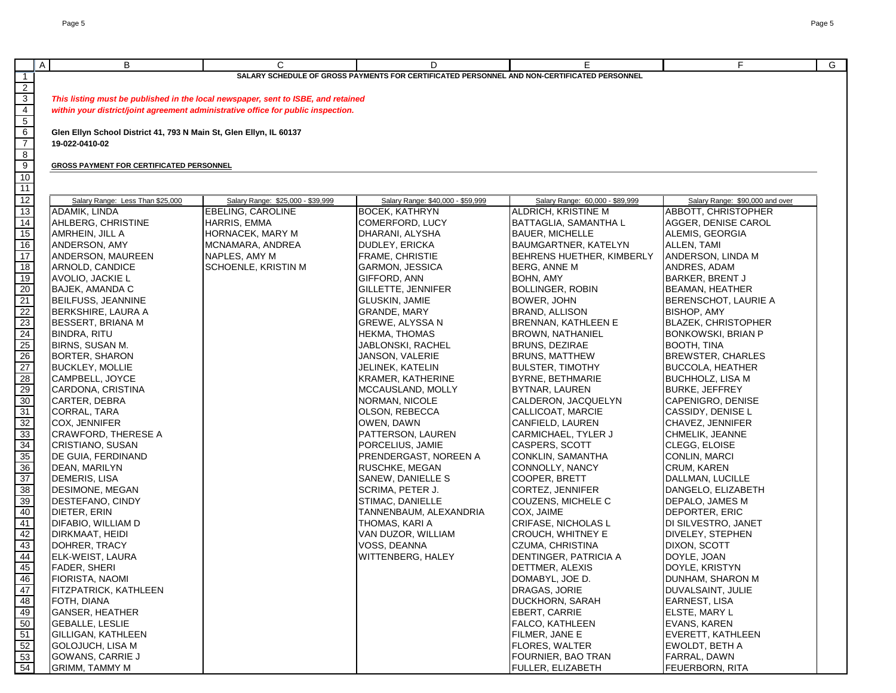|                                                                                                              | $\overline{A}$ | В                                                                  | C                                                                                 | D                                                                                           | E                               | F.                              | G |  |  |  |
|--------------------------------------------------------------------------------------------------------------|----------------|--------------------------------------------------------------------|-----------------------------------------------------------------------------------|---------------------------------------------------------------------------------------------|---------------------------------|---------------------------------|---|--|--|--|
| $\overline{1}$                                                                                               |                |                                                                    |                                                                                   | SALARY SCHEDULE OF GROSS PAYMENTS FOR CERTIFICATED PERSONNEL AND NON-CERTIFICATED PERSONNEL |                                 |                                 |   |  |  |  |
|                                                                                                              |                |                                                                    |                                                                                   |                                                                                             |                                 |                                 |   |  |  |  |
| $\overline{2}$                                                                                               |                |                                                                    |                                                                                   |                                                                                             |                                 |                                 |   |  |  |  |
| $\overline{3}$                                                                                               |                |                                                                    | This listing must be published in the local newspaper, sent to ISBE, and retained |                                                                                             |                                 |                                 |   |  |  |  |
| $\overline{4}$                                                                                               |                |                                                                    | within your district/joint agreement administrative office for public inspection. |                                                                                             |                                 |                                 |   |  |  |  |
| $5\overline{)}$                                                                                              |                |                                                                    |                                                                                   |                                                                                             |                                 |                                 |   |  |  |  |
| $6\overline{6}$                                                                                              |                | Glen Ellyn School District 41, 793 N Main St, Glen Ellyn, IL 60137 |                                                                                   |                                                                                             |                                 |                                 |   |  |  |  |
| $\overline{7}$                                                                                               |                | 19-022-0410-02                                                     |                                                                                   |                                                                                             |                                 |                                 |   |  |  |  |
| $\overline{8}$                                                                                               |                |                                                                    |                                                                                   |                                                                                             |                                 |                                 |   |  |  |  |
| 9                                                                                                            |                | <b>GROSS PAYMENT FOR CERTIFICATED PERSONNEL</b>                    |                                                                                   |                                                                                             |                                 |                                 |   |  |  |  |
| 10                                                                                                           |                |                                                                    |                                                                                   |                                                                                             |                                 |                                 |   |  |  |  |
| 11                                                                                                           |                |                                                                    |                                                                                   |                                                                                             |                                 |                                 |   |  |  |  |
|                                                                                                              |                | Salary Range: Less Than \$25,000                                   | Salary Range: \$25,000 - \$39,999                                                 | Salary Range: \$40,000 - \$59,999                                                           | Salary Range: 60,000 - \$89,999 | Salary Range: \$90,000 and over |   |  |  |  |
| $\frac{12}{13}$                                                                                              |                | ADAMIK, LINDA                                                      | EBELING, CAROLINE                                                                 | <b>BOCEK, KATHRYN</b>                                                                       | ALDRICH, KRISTINE M             | ABBOTT, CHRISTOPHER             |   |  |  |  |
| 14                                                                                                           |                | AHLBERG, CHRISTINE                                                 | HARRIS, EMMA                                                                      | COMERFORD, LUCY                                                                             | BATTAGLIA, SAMANTHA L           | AGGER, DENISE CAROL             |   |  |  |  |
| 15                                                                                                           |                | AMRHEIN, JILL A                                                    | HORNACEK, MARY M                                                                  | DHARANI, ALYSHA                                                                             | <b>BAUER, MICHELLE</b>          | ALEMIS, GEORGIA                 |   |  |  |  |
| 16                                                                                                           |                | ANDERSON, AMY                                                      | MCNAMARA, ANDREA                                                                  | DUDLEY, ERICKA                                                                              | BAUMGARTNER, KATELYN            | ALLEN, TAMI                     |   |  |  |  |
| 17                                                                                                           |                | ANDERSON, MAUREEN                                                  | NAPLES, AMY M                                                                     | FRAME, CHRISTIE                                                                             | BEHRENS HUETHER, KIMBERLY       | ANDERSON, LINDA M               |   |  |  |  |
|                                                                                                              |                | ARNOLD, CANDICE                                                    | SCHOENLE, KRISTIN M                                                               | GARMON, JESSICA                                                                             | BERG, ANNE M                    | ANDRES, ADAM                    |   |  |  |  |
| $\frac{18}{19}$                                                                                              |                | AVOLIO, JACKIE L                                                   |                                                                                   | GIFFORD, ANN                                                                                | BOHN, AMY                       | <b>BARKER, BRENT J</b>          |   |  |  |  |
| 20                                                                                                           |                | <b>BAJEK, AMANDA C</b>                                             |                                                                                   | GILLETTE, JENNIFER                                                                          | BOLLINGER, ROBIN                | <b>BEAMAN, HEATHER</b>          |   |  |  |  |
| 21                                                                                                           |                |                                                                    |                                                                                   |                                                                                             | BOWER, JOHN                     |                                 |   |  |  |  |
|                                                                                                              |                | BEILFUSS, JEANNINE                                                 |                                                                                   | GLUSKIN, JAMIE                                                                              |                                 | BERENSCHOT, LAURIE A            |   |  |  |  |
| 22                                                                                                           |                | BERKSHIRE, LAURA A                                                 |                                                                                   | <b>GRANDE, MARY</b>                                                                         | BRAND, ALLISON                  | BISHOP, AMY                     |   |  |  |  |
| 23                                                                                                           |                | <b>BESSERT, BRIANA M</b>                                           |                                                                                   | GREWE, ALYSSA N                                                                             | <b>BRENNAN, KATHLEEN E</b>      | <b>BLAZEK, CHRISTOPHER</b>      |   |  |  |  |
| 24                                                                                                           |                | <b>BINDRA, RITU</b>                                                |                                                                                   | HEKMA, THOMAS                                                                               | BROWN, NATHANIEL                | BONKOWSKI, BRIAN P              |   |  |  |  |
|                                                                                                              |                | BIRNS, SUSAN M.                                                    |                                                                                   | JABLONSKI, RACHEL                                                                           | <b>BRUNS, DEZIRAE</b>           | <b>BOOTH, TINA</b>              |   |  |  |  |
| $\begin{array}{r}\n 25 \\  \hline\n 26 \\  \hline\n 27\n \end{array}$                                        |                | BORTER, SHARON                                                     |                                                                                   | JANSON, VALERIE                                                                             | BRUNS, MATTHEW                  | BREWSTER, CHARLES               |   |  |  |  |
|                                                                                                              |                | <b>BUCKLEY, MOLLIE</b>                                             |                                                                                   | JELINEK, KATELIN                                                                            | <b>BULSTER, TIMOTHY</b>         | <b>BUCCOLA, HEATHER</b>         |   |  |  |  |
| $\begin{array}{c}\n 28 \\  \hline\n 29 \\  \hline\n 0\n \end{array}$                                         |                | CAMPBELL, JOYCE                                                    |                                                                                   | KRAMER, KATHERINE                                                                           | <b>BYRNE, BETHMARIE</b>         | <b>BUCHHOLZ, LISA M</b>         |   |  |  |  |
|                                                                                                              |                | CARDONA, CRISTINA                                                  |                                                                                   | MCCAUSLAND, MOLLY                                                                           | BYTNAR, LAUREN                  | <b>BURKE, JEFFREY</b>           |   |  |  |  |
|                                                                                                              |                | CARTER, DEBRA                                                      |                                                                                   | NORMAN, NICOLE                                                                              | CALDERON, JACQUELYN             | CAPENIGRO, DENISE               |   |  |  |  |
| 31                                                                                                           |                | CORRAL, TARA                                                       |                                                                                   | OLSON, REBECCA                                                                              | CALLICOAT, MARCIE               | CASSIDY, DENISE L               |   |  |  |  |
|                                                                                                              |                | COX, JENNIFER                                                      |                                                                                   | OWEN, DAWN                                                                                  | CANFIELD, LAUREN                | CHAVEZ, JENNIFER                |   |  |  |  |
| $\frac{32}{33}$                                                                                              |                | <b>CRAWFORD, THERESE A</b>                                         |                                                                                   | PATTERSON, LAUREN                                                                           | CARMICHAEL, TYLER J             | CHMELIK, JEANNE                 |   |  |  |  |
|                                                                                                              |                | CRISTIANO, SUSAN                                                   |                                                                                   | PORCELIUS, JAMIE                                                                            | CASPERS, SCOTT                  | CLEGG, ELOISE                   |   |  |  |  |
|                                                                                                              |                | DE GUIA, FERDINAND                                                 |                                                                                   | PRENDERGAST, NOREEN A                                                                       | CONKLIN, SAMANTHA               | CONLIN, MARCI                   |   |  |  |  |
|                                                                                                              |                | DEAN, MARILYN                                                      |                                                                                   | RUSCHKE, MEGAN                                                                              | CONNOLLY, NANCY                 | <b>CRUM, KAREN</b>              |   |  |  |  |
| $\frac{34}{35}$ $\frac{35}{36}$ $\frac{37}{37}$                                                              |                | <b>DEMERIS, LISA</b>                                               |                                                                                   | SANEW, DANIELLE S                                                                           | COOPER, BRETT                   | DALLMAN, LUCILLE                |   |  |  |  |
| 38                                                                                                           |                | DESIMONE, MEGAN                                                    |                                                                                   | SCRIMA, PETER J.                                                                            | CORTEZ, JENNIFER                | DANGELO, ELIZABETH              |   |  |  |  |
| 39                                                                                                           |                | DESTEFANO, CINDY                                                   |                                                                                   | STIMAC, DANIELLE                                                                            | COUZENS, MICHELE C              | DEPALO, JAMES M                 |   |  |  |  |
| 40                                                                                                           |                | DIETER, ERIN                                                       |                                                                                   | TANNENBAUM, ALEXANDRIA                                                                      | COX, JAIME                      | DEPORTER, ERIC                  |   |  |  |  |
| 41                                                                                                           |                | DIFABIO, WILLIAM D                                                 |                                                                                   | THOMAS, KARI A                                                                              | <b>CRIFASE, NICHOLAS L</b>      | DI SILVESTRO, JANET             |   |  |  |  |
|                                                                                                              |                | DIRKMAAT, HEIDI                                                    |                                                                                   | VAN DUZOR, WILLIAM                                                                          | CROUCH, WHITNEY E               | <b>DIVELEY, STEPHEN</b>         |   |  |  |  |
| $\frac{42}{43}$                                                                                              |                | DOHRER, TRACY                                                      |                                                                                   | VOSS, DEANNA                                                                                | <b>CZUMA, CHRISTINA</b>         | DIXON, SCOTT                    |   |  |  |  |
| 44                                                                                                           |                | ELK-WEIST, LAURA                                                   |                                                                                   | <b>WITTENBERG, HALEY</b>                                                                    | DENTINGER, PATRICIA A           | DOYLE, JOAN                     |   |  |  |  |
|                                                                                                              |                | <b>FADER, SHERI</b>                                                |                                                                                   |                                                                                             | DETTMER, ALEXIS                 | DOYLE, KRISTYN                  |   |  |  |  |
|                                                                                                              |                | FIORISTA, NAOMI                                                    |                                                                                   |                                                                                             | DOMABYL, JOE D.                 | DUNHAM, SHARON M                |   |  |  |  |
|                                                                                                              |                | FITZPATRICK, KATHLEEN                                              |                                                                                   |                                                                                             | DRAGAS, JORIE                   | DUVALSAINT, JULIE               |   |  |  |  |
|                                                                                                              |                | FOTH, DIANA                                                        |                                                                                   |                                                                                             | <b>DUCKHORN, SARAH</b>          | EARNEST, LISA                   |   |  |  |  |
|                                                                                                              |                | GANSER, HEATHER                                                    |                                                                                   |                                                                                             | <b>EBERT, CARRIE</b>            | ELSTE, MARY L                   |   |  |  |  |
|                                                                                                              |                | <b>GEBALLE, LESLIE</b>                                             |                                                                                   |                                                                                             | <b>FALCO, KATHLEEN</b>          | <b>EVANS, KAREN</b>             |   |  |  |  |
| $\begin{array}{r} 45 \\ \hline 46 \\ \hline 47 \\ \hline 48 \\ \hline 50 \\ \hline 51 \\ \hline \end{array}$ |                | GILLIGAN, KATHLEEN                                                 |                                                                                   |                                                                                             | FILMER, JANE E                  | EVERETT, KATHLEEN               |   |  |  |  |
|                                                                                                              |                | GOLOJUCH, LISA M                                                   |                                                                                   |                                                                                             | FLORES, WALTER                  | EWOLDT, BETH A                  |   |  |  |  |
| $\frac{52}{53}$                                                                                              |                | <b>GOWANS, CARRIE J</b>                                            |                                                                                   |                                                                                             | FOURNIER, BAO TRAN              | FARRAL, DAWN                    |   |  |  |  |
|                                                                                                              |                | <b>GRIMM, TAMMY M</b>                                              |                                                                                   |                                                                                             | FULLER, ELIZABETH               | FEUERBORN, RITA                 |   |  |  |  |
|                                                                                                              |                |                                                                    |                                                                                   |                                                                                             |                                 |                                 |   |  |  |  |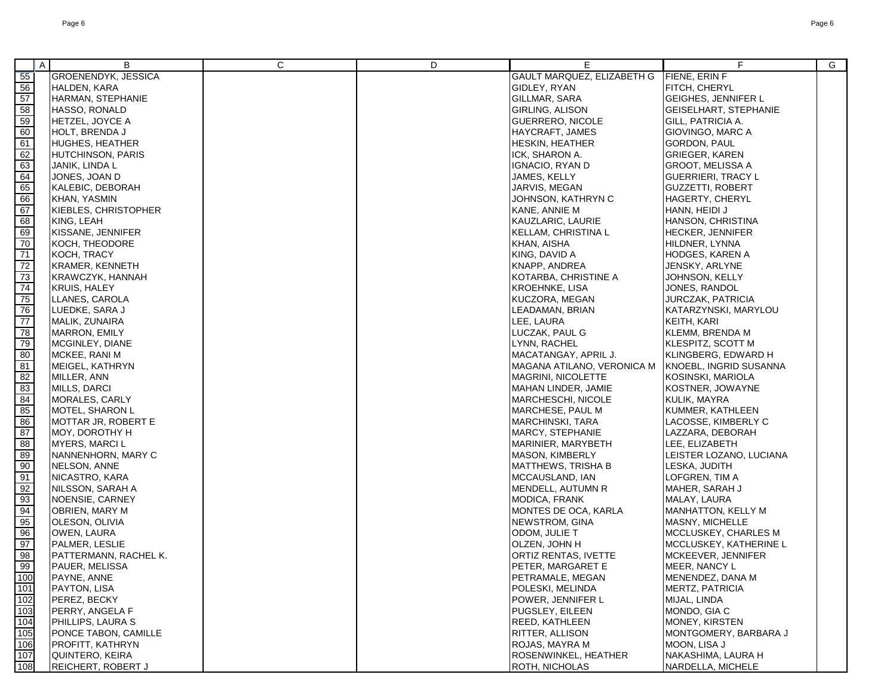|                                                                       | $\mathsf{A}$ | В                     | C | D | Е                          | F.                           | G |
|-----------------------------------------------------------------------|--------------|-----------------------|---|---|----------------------------|------------------------------|---|
| 55                                                                    |              | GROENENDYK, JESSICA   |   |   | GAULT MARQUEZ, ELIZABETH G | <b>FIENE, ERIN F</b>         |   |
| 56                                                                    |              | HALDEN, KARA          |   |   | GIDLEY, RYAN               | FITCH, CHERYL                |   |
| 57                                                                    |              | HARMAN, STEPHANIE     |   |   | GILLMAR, SARA              | GEIGHES, JENNIFER L          |   |
|                                                                       |              | HASSO, RONALD         |   |   | GIRLING, ALISON            | <b>GEISELHART, STEPHANIE</b> |   |
|                                                                       |              | HETZEL, JOYCE A       |   |   | GUERRERO, NICOLE           | GILL, PATRICIA A.            |   |
| $\begin{array}{r}\n 58 \\  \hline\n 59 \\  \hline\n 60\n \end{array}$ |              | HOLT, BRENDA J        |   |   | HAYCRAFT, JAMES            | GIOVINGO, MARC A             |   |
|                                                                       |              | HUGHES, HEATHER       |   |   | HESKIN, HEATHER            | <b>GORDON, PAUL</b>          |   |
| $\frac{61}{62}$                                                       |              | HUTCHINSON, PARIS     |   |   | ICK, SHARON A.             | GRIEGER, KAREN               |   |
|                                                                       |              | JANIK, LINDA L        |   |   | IGNACIO, RYAN D            | GROOT, MELISSA A             |   |
| $\frac{63}{64}$                                                       |              |                       |   |   |                            |                              |   |
|                                                                       |              | JONES, JOAN D         |   |   | JAMES, KELLY               | <b>GUERRIERI, TRACY L</b>    |   |
|                                                                       |              | KALEBIC, DEBORAH      |   |   | JARVIS, MEGAN              | <b>GUZZETTI, ROBERT</b>      |   |
| $\frac{65}{67}$                                                       |              | KHAN, YASMIN          |   |   | JOHNSON, KATHRYN C         | HAGERTY, CHERYL              |   |
|                                                                       |              | KIEBLES, CHRISTOPHER  |   |   | KANE, ANNIE M              | HANN, HEIDI J                |   |
| 68                                                                    |              | KING, LEAH            |   |   | KAUZLARIC, LAURIE          | HANSON, CHRISTINA            |   |
| $\begin{array}{r} 69 \\ \hline 70 \\ \hline 71 \end{array}$           |              | KISSANE, JENNIFER     |   |   | KELLAM, CHRISTINA L        | HECKER, JENNIFER             |   |
|                                                                       |              | KOCH, THEODORE        |   |   | KHAN, AISHA                | HILDNER, LYNNA               |   |
|                                                                       |              | KOCH, TRACY           |   |   | KING, DAVID A              | HODGES, KAREN A              |   |
|                                                                       |              | KRAMER, KENNETH       |   |   | KNAPP, ANDREA              | JENSKY, ARLYNE               |   |
|                                                                       |              | KRAWCZYK, HANNAH      |   |   | KOTARBA, CHRISTINE A       | JOHNSON, KELLY               |   |
|                                                                       |              | <b>KRUIS, HALEY</b>   |   |   | <b>KROEHNKE, LISA</b>      | JONES, RANDOL                |   |
|                                                                       |              | LLANES, CAROLA        |   |   | KUCZORA, MEGAN             | JURCZAK, PATRICIA            |   |
|                                                                       |              | LUEDKE, SARA J        |   |   | LEADAMAN, BRIAN            | KATARZYNSKI, MARYLOU         |   |
|                                                                       |              | MALIK, ZUNAIRA        |   |   | LEE, LAURA                 | KEITH, KARI                  |   |
|                                                                       |              | MARRON, EMILY         |   |   | LUCZAK, PAUL G             | KLEMM, BRENDA M              |   |
| 72<br>73<br>74<br>75<br>76<br>77<br>78<br>80<br>81                    |              | MCGINLEY, DIANE       |   |   | LYNN, RACHEL               | KLESPITZ, SCOTT M            |   |
|                                                                       |              | MCKEE, RANI M         |   |   | MACATANGAY, APRIL J.       | KLINGBERG, EDWARD H          |   |
|                                                                       |              | MEIGEL, KATHRYN       |   |   | MAGANA ATILANO, VERONICA M | KNOEBL, INGRID SUSANNA       |   |
| 82<br>82<br>82<br>85                                                  |              | MILLER, ANN           |   |   | MAGRINI, NICOLETTE         | KOSINSKI, MARIOLA            |   |
|                                                                       |              | MILLS, DARCI          |   |   | MAHAN LINDER, JAMIE        | KOSTNER, JOWAYNE             |   |
|                                                                       |              | MORALES, CARLY        |   |   | MARCHESCHI, NICOLE         | KULIK, MAYRA                 |   |
|                                                                       |              | MOTEL, SHARON L       |   |   | MARCHESE, PAUL M           | KUMMER, KATHLEEN             |   |
| $\frac{86}{87}$                                                       |              | MOTTAR JR, ROBERT E   |   |   | MARCHINSKI, TARA           | LACOSSE, KIMBERLY C          |   |
|                                                                       |              | MOY, DOROTHY H        |   |   | MARCY, STEPHANIE           | LAZZARA, DEBORAH             |   |
| 88                                                                    |              | <b>MYERS, MARCIL</b>  |   |   | MARINIER, MARYBETH         | LEE, ELIZABETH               |   |
| 89                                                                    |              | NANNENHORN, MARY C    |   |   | <b>MASON, KIMBERLY</b>     | LEISTER LOZANO, LUCIANA      |   |
| $\frac{90}{91}$                                                       |              | NELSON, ANNE          |   |   | MATTHEWS, TRISHA B         | LESKA, JUDITH                |   |
|                                                                       |              | NICASTRO, KARA        |   |   | MCCAUSLAND, IAN            | LOFGREN, TIM A               |   |
| $\frac{92}{93}$                                                       |              | NILSSON, SARAH A      |   |   | MENDELL, AUTUMN R          | MAHER, SARAH J               |   |
|                                                                       |              | NOENSIE, CARNEY       |   |   | MODICA, FRANK              | MALAY, LAURA                 |   |
| $\frac{94}{95}$                                                       |              | OBRIEN, MARY M        |   |   | MONTES DE OCA, KARLA       | MANHATTON, KELLY M           |   |
|                                                                       |              | OLESON, OLIVIA        |   |   | NEWSTROM, GINA             | MASNY, MICHELLE              |   |
| 96                                                                    |              | OWEN, LAURA           |   |   | ODOM, JULIE T              | MCCLUSKEY, CHARLES M         |   |
| 97                                                                    |              | PALMER, LESLIE        |   |   | OLZEN, JOHN H              | MCCLUSKEY, KATHERINE L       |   |
|                                                                       |              | PATTERMANN, RACHEL K. |   |   | ORTIZ RENTAS, IVETTE       | MCKEEVER, JENNIFER           |   |
| $\frac{98}{99}$                                                       |              | PAUER, MELISSA        |   |   | PETER, MARGARET E          | MEER, NANCY L                |   |
|                                                                       |              | PAYNE, ANNE           |   |   | PETRAMALE, MEGAN           | MENENDEZ, DANA M             |   |
|                                                                       |              | PAYTON, LISA          |   |   | POLESKI, MELINDA           | MERTZ, PATRICIA              |   |
| 100<br>101<br>102<br>103<br>104<br>105<br>106<br>107                  |              | PEREZ, BECKY          |   |   | POWER, JENNIFER L          | MIJAL, LINDA                 |   |
|                                                                       |              | PERRY, ANGELA F       |   |   | PUGSLEY, EILEEN            | MONDO, GIA C                 |   |
|                                                                       |              | PHILLIPS, LAURA S     |   |   | <b>REED, KATHLEEN</b>      | MONEY, KIRSTEN               |   |
|                                                                       |              | PONCE TABON, CAMILLE  |   |   | RITTER, ALLISON            | MONTGOMERY, BARBARA J        |   |
|                                                                       |              | PROFITT, KATHRYN      |   |   | ROJAS, MAYRA M             | MOON, LISA J                 |   |
|                                                                       |              | QUINTERO, KEIRA       |   |   | ROSENWINKEL, HEATHER       | NAKASHIMA, LAURA H           |   |
| 108                                                                   |              | REICHERT, ROBERT J    |   |   | ROTH, NICHOLAS             | NARDELLA, MICHELE            |   |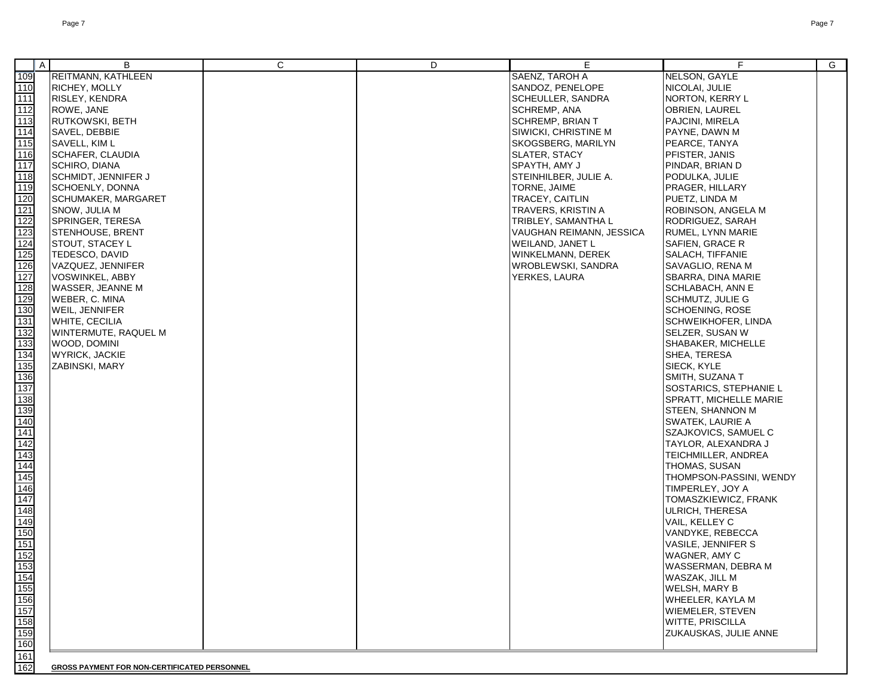|                   | $\overline{A}$ | B                          | C | D | E                        | F.                            | G |
|-------------------|----------------|----------------------------|---|---|--------------------------|-------------------------------|---|
| 109               |                | REITMANN, KATHLEEN         |   |   | SAENZ, TAROH A           | NELSON, GAYLE                 |   |
| 110               |                | <b>RICHEY, MOLLY</b>       |   |   | SANDOZ, PENELOPE         | NICOLAI, JULIE                |   |
|                   |                |                            |   |   |                          |                               |   |
| $111$             |                | RISLEY, KENDRA             |   |   | SCHEULLER, SANDRA        | NORTON, KERRY L               |   |
| $112$             |                | ROWE, JANE                 |   |   | SCHREMP, ANA             | <b>OBRIEN, LAUREL</b>         |   |
| 113               |                | RUTKOWSKI, BETH            |   |   | <b>SCHREMP, BRIAN T</b>  | PAJCINI, MIRELA               |   |
| 114               |                | SAVEL, DEBBIE              |   |   | SIWICKI, CHRISTINE M     | PAYNE, DAWN M                 |   |
| $115$             |                | SAVELL, KIM L              |   |   | SKOGSBERG, MARILYN       | PEARCE, TANYA                 |   |
| 116               |                | <b>SCHAFER, CLAUDIA</b>    |   |   | SLATER, STACY            | PFISTER, JANIS                |   |
| 117               |                | SCHIRO, DIANA              |   |   | SPAYTH, AMY J            | PINDAR, BRIAN D               |   |
| 118               |                | <b>SCHMIDT, JENNIFER J</b> |   |   | STEINHILBER, JULIE A.    | PODULKA, JULIE                |   |
| 119               |                | <b>SCHOENLY, DONNA</b>     |   |   | TORNE, JAIME             | PRAGER, HILLARY               |   |
| 120               |                | <b>SCHUMAKER, MARGARET</b> |   |   | TRACEY, CAITLIN          | PUETZ, LINDA M                |   |
| 121               |                | SNOW, JULIA M              |   |   | TRAVERS, KRISTIN A       | ROBINSON, ANGELA M            |   |
| 122               |                | SPRINGER, TERESA           |   |   | TRIBLEY, SAMANTHA L      | RODRIGUEZ, SARAH              |   |
| 123               |                | <b>STENHOUSE, BRENT</b>    |   |   | VAUGHAN REIMANN, JESSICA | RUMEL, LYNN MARIE             |   |
|                   |                |                            |   |   |                          |                               |   |
| 124               |                | <b>STOUT, STACEY L</b>     |   |   | WEILAND, JANET L         | SAFIEN, GRACE R               |   |
| 125               |                | TEDESCO, DAVID             |   |   | WINKELMANN, DEREK        | SALACH, TIFFANIE              |   |
| 126               |                | VAZQUEZ, JENNIFER          |   |   | WROBLEWSKI, SANDRA       | SAVAGLIO, RENA M              |   |
| 127               |                | VOSWINKEL, ABBY            |   |   | YERKES, LAURA            | SBARRA, DINA MARIE            |   |
| 128               |                | <b>WASSER, JEANNE M</b>    |   |   |                          | <b>SCHLABACH, ANN E</b>       |   |
| 129               |                | <b>WEBER, C. MINA</b>      |   |   |                          | SCHMUTZ, JULIE G              |   |
| 130               |                | WEIL, JENNIFER             |   |   |                          | <b>SCHOENING, ROSE</b>        |   |
| 131               |                | <b>WHITE, CECILIA</b>      |   |   |                          | SCHWEIKHOFER, LINDA           |   |
| 132               |                | WINTERMUTE, RAQUEL M       |   |   |                          | SELZER, SUSAN W               |   |
| 133               |                | WOOD, DOMINI               |   |   |                          | <b>SHABAKER, MICHELLE</b>     |   |
| 134               |                | <b>WYRICK, JACKIE</b>      |   |   |                          | SHEA, TERESA                  |   |
| 135               |                | ZABINSKI, MARY             |   |   |                          | SIECK, KYLE                   |   |
| 136               |                |                            |   |   |                          | SMITH, SUZANA T               |   |
| 137               |                |                            |   |   |                          | SOSTARICS, STEPHANIE L        |   |
|                   |                |                            |   |   |                          |                               |   |
| 138               |                |                            |   |   |                          | <b>SPRATT, MICHELLE MARIE</b> |   |
| 139               |                |                            |   |   |                          | <b>STEEN, SHANNON M</b>       |   |
| 140               |                |                            |   |   |                          | SWATEK, LAURIE A              |   |
| 141               |                |                            |   |   |                          | SZAJKOVICS, SAMUEL C          |   |
| 142               |                |                            |   |   |                          | TAYLOR, ALEXANDRA J           |   |
| 143               |                |                            |   |   |                          | TEICHMILLER, ANDREA           |   |
| 144               |                |                            |   |   |                          | THOMAS, SUSAN                 |   |
| 145               |                |                            |   |   |                          | THOMPSON-PASSINI, WENDY       |   |
| 146               |                |                            |   |   |                          | TIMPERLEY, JOY A              |   |
| 147               |                |                            |   |   |                          | TOMASZKIEWICZ, FRANK          |   |
| 148               |                |                            |   |   |                          | <b>ULRICH, THERESA</b>        |   |
| 149               |                |                            |   |   |                          | VAIL, KELLEY C                |   |
| 150               |                |                            |   |   |                          | VANDYKE, REBECCA              |   |
| 151               |                |                            |   |   |                          | VASILE, JENNIFER S            |   |
| 152               |                |                            |   |   |                          | <b>WAGNER, AMY C</b>          |   |
| 153               |                |                            |   |   |                          | WASSERMAN, DEBRA M            |   |
|                   |                |                            |   |   |                          |                               |   |
| $\frac{154}{155}$ |                |                            |   |   |                          | WASZAK, JILL M                |   |
|                   |                |                            |   |   |                          | <b>WELSH, MARY B</b>          |   |
| $\frac{156}{157}$ |                |                            |   |   |                          | <b>WHEELER, KAYLA M</b>       |   |
|                   |                |                            |   |   |                          | <b>WIEMELER, STEVEN</b>       |   |
|                   |                |                            |   |   |                          | <b>WITTE, PRISCILLA</b>       |   |
| 159               |                |                            |   |   |                          | <b>ZUKAUSKAS, JULIE ANNE</b>  |   |
| 160               |                |                            |   |   |                          |                               |   |
| 161               |                |                            |   |   |                          |                               |   |

162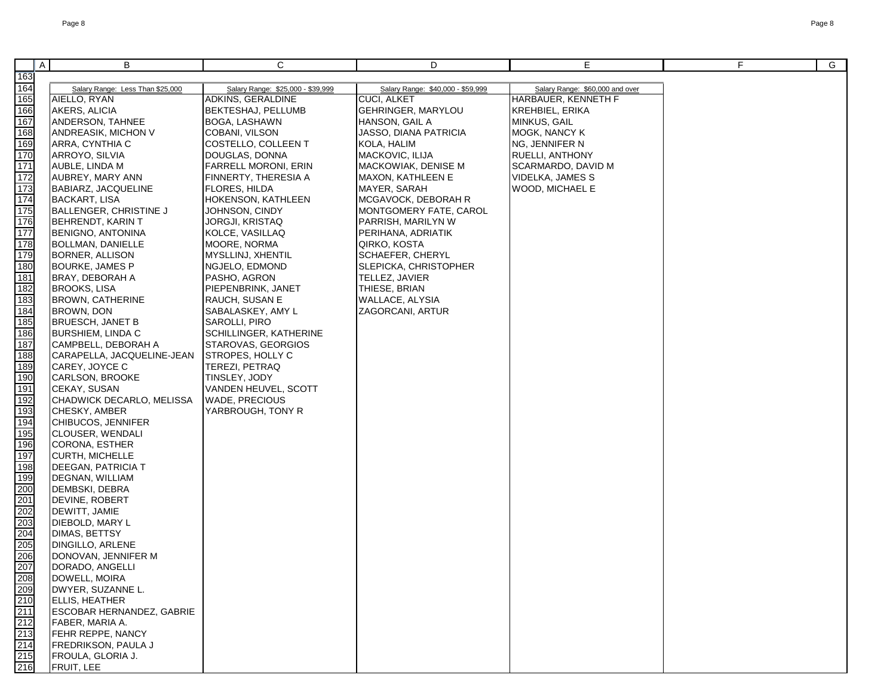|                                                             | $\mathsf{A}$<br>В                               | C                                            | D                                 | Е                               | F. | G |
|-------------------------------------------------------------|-------------------------------------------------|----------------------------------------------|-----------------------------------|---------------------------------|----|---|
| 163                                                         |                                                 |                                              |                                   |                                 |    |   |
| 164                                                         | Salary Range: Less Than \$25,000                | Salary Range: \$25,000 - \$39,999            | Salary Range: \$40,000 - \$59,999 | Salary Range: \$60,000 and over |    |   |
| 165                                                         | AIELLO, RYAN                                    | ADKINS, GERALDINE                            | CUCI, ALKET                       | HARBAUER, KENNETH F             |    |   |
| 166                                                         | AKERS, ALICIA                                   | BEKTESHAJ, PELLUMB                           | GEHRINGER, MARYLOU                | KREHBIEL, ERIKA                 |    |   |
| 167                                                         | ANDERSON, TAHNEE                                | BOGA, LASHAWN                                | HANSON, GAIL A                    | MINKUS, GAIL                    |    |   |
| 168                                                         | ANDREASIK, MICHON V                             | COBANI, VILSON                               | JASSO, DIANA PATRICIA             | MOGK, NANCY K                   |    |   |
| 169                                                         | ARRA, CYNTHIA C                                 | COSTELLO, COLLEEN T                          | KOLA, HALIM                       | NG, JENNIFER N                  |    |   |
| 170                                                         | ARROYO, SILVIA                                  | DOUGLAS, DONNA                               | MACKOVIC, ILIJA                   | RUELLI, ANTHONY                 |    |   |
| 171                                                         | AUBLE, LINDA M                                  | <b>FARRELL MORONI, ERIN</b>                  | MACKOWIAK, DENISE M               | SCARMARDO, DAVID M              |    |   |
| 172                                                         | AUBREY, MARY ANN                                | FINNERTY, THERESIA A                         | MAXON, KATHLEEN E                 | VIDELKA, JAMES S                |    |   |
| 173                                                         | BABIARZ, JACQUELINE                             | FLORES, HILDA                                | MAYER, SARAH                      | WOOD, MICHAEL E                 |    |   |
| 174                                                         | BACKART, LISA                                   | HOKENSON, KATHLEEN                           | MCGAVOCK, DEBORAH R               |                                 |    |   |
| 175                                                         | BALLENGER, CHRISTINE J                          | JOHNSON, CINDY                               | MONTGOMERY FATE, CAROL            |                                 |    |   |
| 176                                                         | BEHRENDT, KARIN T                               | JORGJI, KRISTAQ                              | PARRISH, MARILYN W                |                                 |    |   |
| 177                                                         | BENIGNO, ANTONINA                               | KOLCE, VASILLAQ                              | PERIHANA, ADRIATIK                |                                 |    |   |
| 178                                                         | BOLLMAN, DANIELLE                               | MOORE, NORMA                                 | QIRKO, KOSTA                      |                                 |    |   |
| 179                                                         | <b>BORNER, ALLISON</b>                          | MYSLLINJ, XHENTIL                            | SCHAEFER, CHERYL                  |                                 |    |   |
| 180                                                         | <b>BOURKE, JAMES P</b>                          | NGJELO, EDMOND                               | SLEPICKA, CHRISTOPHER             |                                 |    |   |
| 181                                                         | BRAY, DEBORAH A                                 | PASHO, AGRON                                 | TELLEZ, JAVIER                    |                                 |    |   |
| 182                                                         | <b>BROOKS, LISA</b>                             | PIEPENBRINK, JANET                           | THIESE, BRIAN                     |                                 |    |   |
| <u>183</u>                                                  | BROWN, CATHERINE                                | RAUCH, SUSAN E                               | WALLACE, ALYSIA                   |                                 |    |   |
| 184                                                         | BROWN, DON                                      | SABALASKEY, AMY L                            | ZAGORCANI, ARTUR                  |                                 |    |   |
| 185                                                         | <b>BRUESCH, JANET B</b>                         | SAROLLI, PIRO                                |                                   |                                 |    |   |
| 186<br>187                                                  | <b>BURSHIEM, LINDA C</b><br>CAMPBELL, DEBORAH A | SCHILLINGER, KATHERINE<br>STAROVAS, GEORGIOS |                                   |                                 |    |   |
| 188                                                         | CARAPELLA, JACQUELINE-JEAN                      | <b>STROPES, HOLLY C</b>                      |                                   |                                 |    |   |
| 189                                                         | CAREY, JOYCE C                                  | TEREZI, PETRAQ                               |                                   |                                 |    |   |
| 190                                                         | CARLSON, BROOKE                                 | TINSLEY, JODY                                |                                   |                                 |    |   |
| 191                                                         | CEKAY, SUSAN                                    | VANDEN HEUVEL, SCOTT                         |                                   |                                 |    |   |
| 192                                                         | CHADWICK DECARLO, MELISSA                       | <b>WADE, PRECIOUS</b>                        |                                   |                                 |    |   |
| 193                                                         | CHESKY, AMBER                                   | YARBROUGH, TONY R                            |                                   |                                 |    |   |
| 194                                                         | CHIBUCOS, JENNIFER                              |                                              |                                   |                                 |    |   |
| 195                                                         | CLOUSER, WENDALI                                |                                              |                                   |                                 |    |   |
| 196                                                         | CORONA, ESTHER                                  |                                              |                                   |                                 |    |   |
| 197                                                         | CURTH, MICHELLE                                 |                                              |                                   |                                 |    |   |
| 198                                                         | DEEGAN, PATRICIA T                              |                                              |                                   |                                 |    |   |
| 199                                                         | DEGNAN, WILLIAM                                 |                                              |                                   |                                 |    |   |
| 200                                                         | DEMBSKI, DEBRA                                  |                                              |                                   |                                 |    |   |
| 201                                                         | DEVINE, ROBERT                                  |                                              |                                   |                                 |    |   |
| 202                                                         | DEWITT, JAMIE                                   |                                              |                                   |                                 |    |   |
| 203                                                         | DIEBOLD, MARY L                                 |                                              |                                   |                                 |    |   |
| 204                                                         | DIMAS, BETTSY                                   |                                              |                                   |                                 |    |   |
| 205                                                         | DINGILLO, ARLENE                                |                                              |                                   |                                 |    |   |
| 206<br>207                                                  | DONOVAN, JENNIFER M<br>DORADO, ANGELLI          |                                              |                                   |                                 |    |   |
|                                                             | DOWELL, MOIRA                                   |                                              |                                   |                                 |    |   |
|                                                             | DWYER, SUZANNE L.                               |                                              |                                   |                                 |    |   |
|                                                             | ELLIS, HEATHER                                  |                                              |                                   |                                 |    |   |
| $\frac{208}{209}$<br>$\frac{210}{211}$<br>$\frac{211}{212}$ | <b>ESCOBAR HERNANDEZ, GABRIE</b>                |                                              |                                   |                                 |    |   |
|                                                             | FABER, MARIA A.                                 |                                              |                                   |                                 |    |   |
| 213                                                         | FEHR REPPE, NANCY                               |                                              |                                   |                                 |    |   |
| 214                                                         | FREDRIKSON, PAULA J                             |                                              |                                   |                                 |    |   |
| 215                                                         | FROULA, GLORIA J.                               |                                              |                                   |                                 |    |   |
| 216                                                         | FRUIT, LEE                                      |                                              |                                   |                                 |    |   |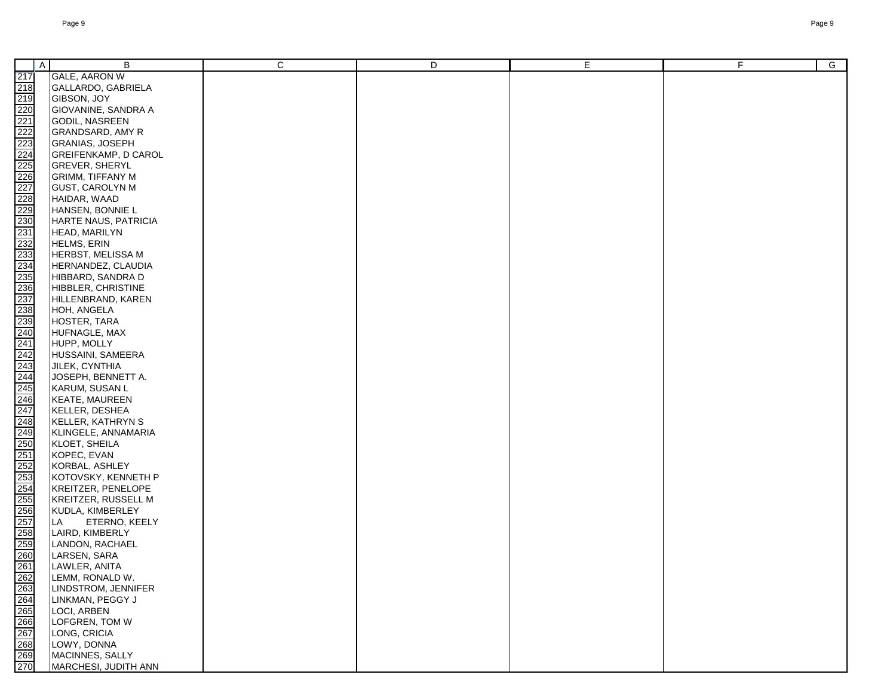| ∥ A | В                           | С | D | E | F | $\overline{G}$ |
|-----|-----------------------------|---|---|---|---|----------------|
|     | <b>GALE, AARON W</b>        |   |   |   |   |                |
|     |                             |   |   |   |   |                |
|     | GALLARDO, GABRIELA          |   |   |   |   |                |
|     | GIBSON, JOY                 |   |   |   |   |                |
|     | <b>GIOVANINE, SANDRA A</b>  |   |   |   |   |                |
|     | GODIL, NASREEN              |   |   |   |   |                |
|     | GRANDSARD, AMY R            |   |   |   |   |                |
|     | <b>GRANIAS, JOSEPH</b>      |   |   |   |   |                |
|     | <b>GREIFENKAMP, D CAROL</b> |   |   |   |   |                |
|     | <b>GREVER, SHERYL</b>       |   |   |   |   |                |
|     | <b>GRIMM, TIFFANY M</b>     |   |   |   |   |                |
|     | <b>GUST, CAROLYN M</b>      |   |   |   |   |                |
|     | HAIDAR, WAAD                |   |   |   |   |                |
|     | HANSEN, BONNIE L            |   |   |   |   |                |
|     | HARTE NAUS, PATRICIA        |   |   |   |   |                |
|     | HEAD, MARILYN               |   |   |   |   |                |
|     | HELMS, ERIN                 |   |   |   |   |                |
|     | <b>HERBST, MELISSA M</b>    |   |   |   |   |                |
|     | HERNANDEZ, CLAUDIA          |   |   |   |   |                |
|     | HIBBARD, SANDRA D           |   |   |   |   |                |
|     | HIBBLER, CHRISTINE          |   |   |   |   |                |
|     | HILLENBRAND, KAREN          |   |   |   |   |                |
|     | HOH, ANGELA                 |   |   |   |   |                |
|     | HOSTER, TARA                |   |   |   |   |                |
|     | HUFNAGLE, MAX               |   |   |   |   |                |
|     | HUPP, MOLLY                 |   |   |   |   |                |
|     | HUSSAINI, SAMEERA           |   |   |   |   |                |
|     | JILEK, CYNTHIA              |   |   |   |   |                |
|     | JOSEPH, BENNETT A.          |   |   |   |   |                |
|     | KARUM, SUSAN L              |   |   |   |   |                |
|     | <b>KEATE, MAUREEN</b>       |   |   |   |   |                |
|     | KELLER, DESHEA              |   |   |   |   |                |
|     | KELLER, KATHRYN S           |   |   |   |   |                |
|     | KLINGELE, ANNAMARIA         |   |   |   |   |                |
|     | KLOET, SHEILA               |   |   |   |   |                |
|     | KOPEC, EVAN                 |   |   |   |   |                |
|     | KORBAL, ASHLEY              |   |   |   |   |                |
|     | KOTOVSKY, KENNETH P         |   |   |   |   |                |
|     | KREITZER, PENELOPE          |   |   |   |   |                |
|     | <b>KREITZER, RUSSELL M</b>  |   |   |   |   |                |
|     | KUDLA, KIMBERLEY            |   |   |   |   |                |
|     | LA<br>ETERNO, KEELY         |   |   |   |   |                |
|     | LAIRD, KIMBERLY             |   |   |   |   |                |
|     | LANDON, RACHAEL             |   |   |   |   |                |
|     | LARSEN, SARA                |   |   |   |   |                |
|     | LAWLER, ANITA               |   |   |   |   |                |
|     | LEMM, RONALD W.             |   |   |   |   |                |
|     | LINDSTROM, JENNIFER         |   |   |   |   |                |
|     | LINKMAN, PEGGY J            |   |   |   |   |                |
|     | LOCI, ARBEN                 |   |   |   |   |                |
|     | LOFGREN, TOM W              |   |   |   |   |                |
|     | LONG, CRICIA                |   |   |   |   |                |
|     | LOWY, DONNA                 |   |   |   |   |                |
|     | MACINNES, SALLY             |   |   |   |   |                |
|     | MARCHESI, JUDITH ANN        |   |   |   |   |                |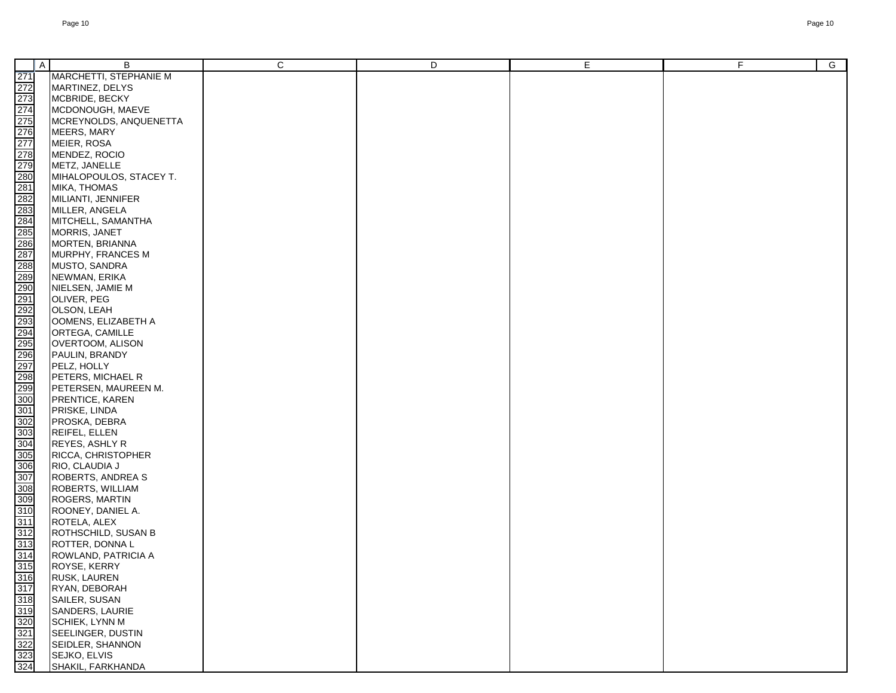|                                                                                                                                                                                                                                      | $\mathsf{A}$ | B                                        | C | D | E. | F. | $\overline{G}$ |
|--------------------------------------------------------------------------------------------------------------------------------------------------------------------------------------------------------------------------------------|--------------|------------------------------------------|---|---|----|----|----------------|
|                                                                                                                                                                                                                                      |              | MARCHETTI, STEPHANIE M                   |   |   |    |    |                |
|                                                                                                                                                                                                                                      |              | MARTINEZ, DELYS                          |   |   |    |    |                |
|                                                                                                                                                                                                                                      |              | MCBRIDE, BECKY                           |   |   |    |    |                |
|                                                                                                                                                                                                                                      |              | MCDONOUGH, MAEVE                         |   |   |    |    |                |
|                                                                                                                                                                                                                                      |              |                                          |   |   |    |    |                |
|                                                                                                                                                                                                                                      |              | MCREYNOLDS, ANQUENETTA                   |   |   |    |    |                |
|                                                                                                                                                                                                                                      |              | MEERS, MARY                              |   |   |    |    |                |
|                                                                                                                                                                                                                                      |              | MEIER, ROSA                              |   |   |    |    |                |
|                                                                                                                                                                                                                                      |              | MENDEZ, ROCIO                            |   |   |    |    |                |
|                                                                                                                                                                                                                                      |              | METZ, JANELLE<br>MIHALOPOULOS, STACEY T. |   |   |    |    |                |
|                                                                                                                                                                                                                                      |              |                                          |   |   |    |    |                |
|                                                                                                                                                                                                                                      |              | MIKA, THOMAS<br>MILIANTI, JENNIFER       |   |   |    |    |                |
|                                                                                                                                                                                                                                      |              | MILLER, ANGELA                           |   |   |    |    |                |
|                                                                                                                                                                                                                                      |              | MITCHELL, SAMANTHA                       |   |   |    |    |                |
|                                                                                                                                                                                                                                      |              | MORRIS, JANET                            |   |   |    |    |                |
|                                                                                                                                                                                                                                      |              |                                          |   |   |    |    |                |
|                                                                                                                                                                                                                                      |              | MORTEN, BRIANNA<br>MURPHY, FRANCES M     |   |   |    |    |                |
|                                                                                                                                                                                                                                      |              | MUSTO, SANDRA                            |   |   |    |    |                |
|                                                                                                                                                                                                                                      |              | NEWMAN, ERIKA                            |   |   |    |    |                |
|                                                                                                                                                                                                                                      |              | NIELSEN, JAMIE M                         |   |   |    |    |                |
|                                                                                                                                                                                                                                      |              | OLIVER, PEG                              |   |   |    |    |                |
|                                                                                                                                                                                                                                      |              | OLSON, LEAH                              |   |   |    |    |                |
|                                                                                                                                                                                                                                      |              | OOMENS, ELIZABETH A                      |   |   |    |    |                |
|                                                                                                                                                                                                                                      |              | ORTEGA, CAMILLE                          |   |   |    |    |                |
|                                                                                                                                                                                                                                      |              | OVERTOOM, ALISON                         |   |   |    |    |                |
|                                                                                                                                                                                                                                      |              | PAULIN, BRANDY                           |   |   |    |    |                |
|                                                                                                                                                                                                                                      |              | PELZ, HOLLY                              |   |   |    |    |                |
|                                                                                                                                                                                                                                      |              | PETERS, MICHAEL R                        |   |   |    |    |                |
|                                                                                                                                                                                                                                      |              | PETERSEN, MAUREEN M.                     |   |   |    |    |                |
|                                                                                                                                                                                                                                      |              | PRENTICE, KAREN                          |   |   |    |    |                |
|                                                                                                                                                                                                                                      |              | PRISKE, LINDA                            |   |   |    |    |                |
|                                                                                                                                                                                                                                      |              | PROSKA, DEBRA                            |   |   |    |    |                |
|                                                                                                                                                                                                                                      |              | <b>REIFEL, ELLEN</b>                     |   |   |    |    |                |
|                                                                                                                                                                                                                                      |              | REYES, ASHLY R                           |   |   |    |    |                |
|                                                                                                                                                                                                                                      |              | RICCA, CHRISTOPHER                       |   |   |    |    |                |
|                                                                                                                                                                                                                                      |              | RIO, CLAUDIA J                           |   |   |    |    |                |
|                                                                                                                                                                                                                                      |              | <b>ROBERTS, ANDREA S</b>                 |   |   |    |    |                |
|                                                                                                                                                                                                                                      |              | <b>ROBERTS, WILLIAM</b>                  |   |   |    |    |                |
|                                                                                                                                                                                                                                      |              | ROGERS, MARTIN                           |   |   |    |    |                |
| <u>a a shekara shekara shekara shekara shekara shekara shekara shekara shekara shekara shekara shekara shekara shekara shekara shekara shekara shekara shekara shekara shekara shekara shekara shekara shekara shekara shekara s</u> |              | ROONEY, DANIEL A.                        |   |   |    |    |                |
|                                                                                                                                                                                                                                      |              | ROTELA, ALEX                             |   |   |    |    |                |
|                                                                                                                                                                                                                                      |              | ROTHSCHILD, SUSAN B                      |   |   |    |    |                |
|                                                                                                                                                                                                                                      |              | ROTTER, DONNAL                           |   |   |    |    |                |
|                                                                                                                                                                                                                                      |              | ROWLAND, PATRICIA A                      |   |   |    |    |                |
|                                                                                                                                                                                                                                      |              | ROYSE, KERRY                             |   |   |    |    |                |
|                                                                                                                                                                                                                                      |              | RUSK, LAUREN                             |   |   |    |    |                |
|                                                                                                                                                                                                                                      |              | RYAN, DEBORAH                            |   |   |    |    |                |
|                                                                                                                                                                                                                                      |              | SAILER, SUSAN                            |   |   |    |    |                |
|                                                                                                                                                                                                                                      |              | SANDERS, LAURIE                          |   |   |    |    |                |
|                                                                                                                                                                                                                                      |              | SCHIEK, LYNN M                           |   |   |    |    |                |
|                                                                                                                                                                                                                                      |              | SEELINGER, DUSTIN                        |   |   |    |    |                |
|                                                                                                                                                                                                                                      |              | SEIDLER, SHANNON                         |   |   |    |    |                |
|                                                                                                                                                                                                                                      |              | SEJKO, ELVIS                             |   |   |    |    |                |
|                                                                                                                                                                                                                                      |              | SHAKIL, FARKHANDA                        |   |   |    |    |                |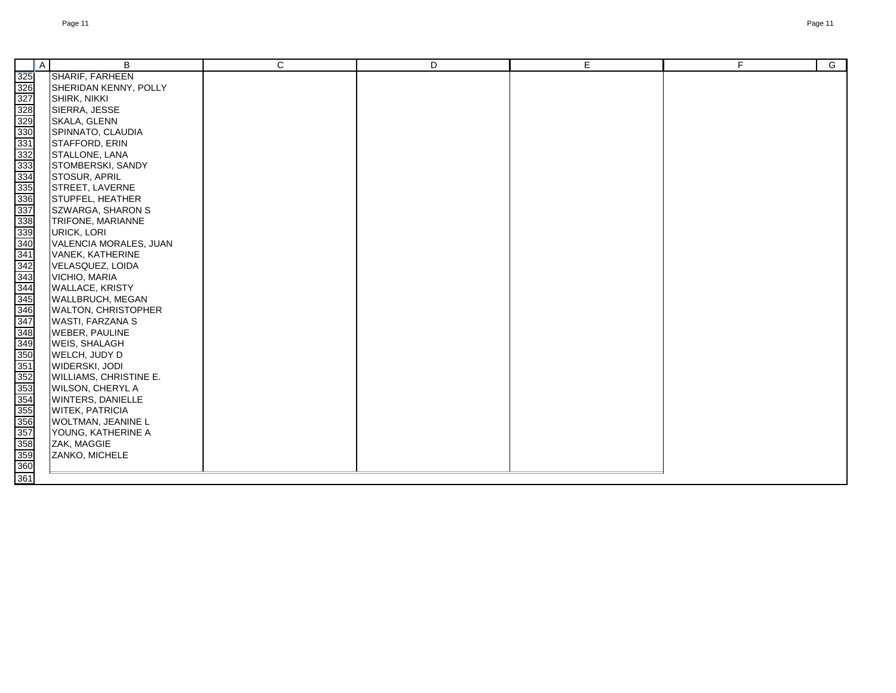|                                                                                                                                                                                                                                       | $\mathsf{A}$ | B                             | C | D | E. | F | $\overline{G}$ |
|---------------------------------------------------------------------------------------------------------------------------------------------------------------------------------------------------------------------------------------|--------------|-------------------------------|---|---|----|---|----------------|
|                                                                                                                                                                                                                                       |              | <b>SHARIF, FARHEEN</b>        |   |   |    |   |                |
|                                                                                                                                                                                                                                       |              | SHERIDAN KENNY, POLLY         |   |   |    |   |                |
|                                                                                                                                                                                                                                       |              | SHIRK, NIKKI                  |   |   |    |   |                |
|                                                                                                                                                                                                                                       |              | SIERRA, JESSE                 |   |   |    |   |                |
|                                                                                                                                                                                                                                       |              | SKALA, GLENN                  |   |   |    |   |                |
|                                                                                                                                                                                                                                       |              | SPINNATO, CLAUDIA             |   |   |    |   |                |
|                                                                                                                                                                                                                                       |              | STAFFORD, ERIN                |   |   |    |   |                |
|                                                                                                                                                                                                                                       |              | STALLONE, LANA                |   |   |    |   |                |
|                                                                                                                                                                                                                                       |              | STOMBERSKI, SANDY             |   |   |    |   |                |
|                                                                                                                                                                                                                                       |              | STOSUR, APRIL                 |   |   |    |   |                |
|                                                                                                                                                                                                                                       |              | STREET, LAVERNE               |   |   |    |   |                |
|                                                                                                                                                                                                                                       |              | STUPFEL, HEATHER              |   |   |    |   |                |
|                                                                                                                                                                                                                                       |              | SZWARGA, SHARON S             |   |   |    |   |                |
|                                                                                                                                                                                                                                       |              | TRIFONE, MARIANNE             |   |   |    |   |                |
|                                                                                                                                                                                                                                       |              | <b>URICK, LORI</b>            |   |   |    |   |                |
|                                                                                                                                                                                                                                       |              | VALENCIA MORALES, JUAN        |   |   |    |   |                |
|                                                                                                                                                                                                                                       |              | VANEK, KATHERINE              |   |   |    |   |                |
|                                                                                                                                                                                                                                       |              | VELASQUEZ, LOIDA              |   |   |    |   |                |
|                                                                                                                                                                                                                                       |              | VICHIO, MARIA                 |   |   |    |   |                |
|                                                                                                                                                                                                                                       |              | <b>WALLACE, KRISTY</b>        |   |   |    |   |                |
|                                                                                                                                                                                                                                       |              | <b>WALLBRUCH, MEGAN</b>       |   |   |    |   |                |
|                                                                                                                                                                                                                                       |              | <b>WALTON, CHRISTOPHER</b>    |   |   |    |   |                |
|                                                                                                                                                                                                                                       |              | WASTI, FARZANA S              |   |   |    |   |                |
|                                                                                                                                                                                                                                       |              | <b>WEBER, PAULINE</b>         |   |   |    |   |                |
|                                                                                                                                                                                                                                       |              | <b>WEIS, SHALAGH</b>          |   |   |    |   |                |
|                                                                                                                                                                                                                                       |              | WELCH, JUDY D                 |   |   |    |   |                |
|                                                                                                                                                                                                                                       |              | WIDERSKI, JODI                |   |   |    |   |                |
|                                                                                                                                                                                                                                       |              | <b>WILLIAMS, CHRISTINE E.</b> |   |   |    |   |                |
|                                                                                                                                                                                                                                       |              | <b>WILSON, CHERYL A</b>       |   |   |    |   |                |
|                                                                                                                                                                                                                                       |              | WINTERS, DANIELLE             |   |   |    |   |                |
|                                                                                                                                                                                                                                       |              | WITEK, PATRICIA               |   |   |    |   |                |
|                                                                                                                                                                                                                                       |              | <b>WOLTMAN, JEANINE L</b>     |   |   |    |   |                |
|                                                                                                                                                                                                                                       |              | YOUNG, KATHERINE A            |   |   |    |   |                |
|                                                                                                                                                                                                                                       |              | ZAK, MAGGIE                   |   |   |    |   |                |
| <u>an an an an an an an amazo an amazo an amazo an amazo an amazo an amazo an amazo an amazo an amazo an amazo an a</u><br>Bana an amazo an amazo an amazo an amazo an amazo an amazo an amazo an amazo an amazo an amazo an amazo an |              | ZANKO, MICHELE                |   |   |    |   |                |
|                                                                                                                                                                                                                                       |              |                               |   |   |    |   |                |
|                                                                                                                                                                                                                                       |              |                               |   |   |    |   |                |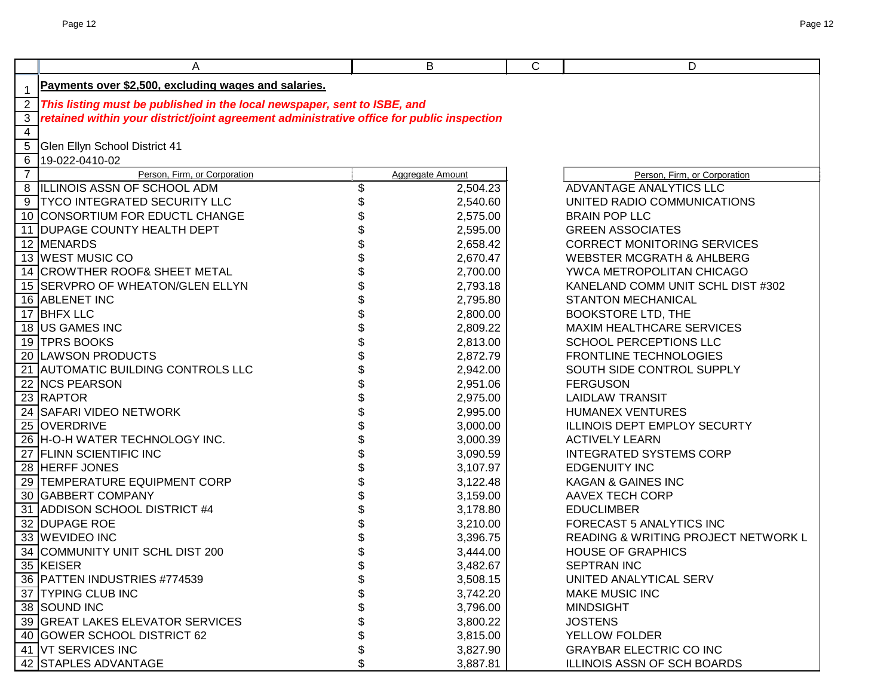|                | Α                                                                                         |    | B                       | $\mathsf{C}$ | D                                    |
|----------------|-------------------------------------------------------------------------------------------|----|-------------------------|--------------|--------------------------------------|
|                | Payments over \$2,500, excluding wages and salaries.                                      |    |                         |              |                                      |
| $\overline{2}$ | This listing must be published in the local newspaper, sent to ISBE, and                  |    |                         |              |                                      |
| 3              | retained within your district/joint agreement administrative office for public inspection |    |                         |              |                                      |
| 4              |                                                                                           |    |                         |              |                                      |
| 5              | Glen Ellyn School District 41                                                             |    |                         |              |                                      |
| 6              | 19-022-0410-02                                                                            |    |                         |              |                                      |
| $\overline{7}$ | Person, Firm, or Corporation                                                              |    | <b>Aggregate Amount</b> |              | Person, Firm, or Corporation         |
| 8              | ILLINOIS ASSN OF SCHOOL ADM                                                               | \$ | 2,504.23                |              | ADVANTAGE ANALYTICS LLC              |
| 9              | <b>TYCO INTEGRATED SECURITY LLC</b>                                                       |    | 2,540.60                |              | UNITED RADIO COMMUNICATIONS          |
|                | 10 CONSORTIUM FOR EDUCTL CHANGE                                                           |    | 2,575.00                |              | <b>BRAIN POP LLC</b>                 |
|                | 11 DUPAGE COUNTY HEALTH DEPT                                                              |    | 2,595.00                |              | <b>GREEN ASSOCIATES</b>              |
|                | 12 MENARDS                                                                                |    | 2,658.42                |              | <b>CORRECT MONITORING SERVICES</b>   |
|                | 13 WEST MUSIC CO                                                                          |    | 2,670.47                |              | <b>WEBSTER MCGRATH &amp; AHLBERG</b> |
|                | 14 CROWTHER ROOF& SHEET METAL                                                             |    | 2,700.00                |              | YWCA METROPOLITAN CHICAGO            |
|                | 15 SERVPRO OF WHEATON/GLEN ELLYN                                                          |    | 2,793.18                |              | KANELAND COMM UNIT SCHL DIST #302    |
|                | 16 ABLENET INC                                                                            |    | 2,795.80                |              | <b>STANTON MECHANICAL</b>            |
| 17             | <b>BHFX LLC</b>                                                                           |    | 2,800.00                |              | <b>BOOKSTORE LTD, THE</b>            |
|                | 18 US GAMES INC                                                                           |    | 2,809.22                |              | MAXIM HEALTHCARE SERVICES            |
|                | 19 TPRS BOOKS                                                                             |    | 2,813.00                |              | SCHOOL PERCEPTIONS LLC               |
|                | 20 LAWSON PRODUCTS                                                                        |    | 2,872.79                |              | <b>FRONTLINE TECHNOLOGIES</b>        |
|                | 21 AUTOMATIC BUILDING CONTROLS LLC                                                        |    | 2,942.00                |              | SOUTH SIDE CONTROL SUPPLY            |
|                | 22 NCS PEARSON                                                                            |    | 2,951.06                |              | <b>FERGUSON</b>                      |
|                | 23 RAPTOR                                                                                 |    | 2,975.00                |              | <b>LAIDLAW TRANSIT</b>               |
|                | 24 SAFARI VIDEO NETWORK                                                                   |    | 2,995.00                |              | <b>HUMANEX VENTURES</b>              |
|                | 25 OVERDRIVE                                                                              |    | 3,000.00                |              | ILLINOIS DEPT EMPLOY SECURTY         |
|                | 26 H-O-H WATER TECHNOLOGY INC.                                                            |    | 3,000.39                |              | <b>ACTIVELY LEARN</b>                |
|                | 27 FLINN SCIENTIFIC INC                                                                   |    | 3,090.59                |              | <b>INTEGRATED SYSTEMS CORP</b>       |
|                | 28 HERFF JONES                                                                            |    | 3,107.97                |              | <b>EDGENUITY INC</b>                 |
| 29             | <b>TEMPERATURE EQUIPMENT CORP</b>                                                         |    | 3,122.48                |              | <b>KAGAN &amp; GAINES INC</b>        |
|                | 30 GABBERT COMPANY                                                                        |    | 3,159.00                |              | <b>AAVEX TECH CORP</b>               |
|                | 31 ADDISON SCHOOL DISTRICT #4                                                             |    | 3,178.80                |              | <b>EDUCLIMBER</b>                    |
|                | 32 DUPAGE ROE                                                                             |    | 3,210.00                |              | FORECAST 5 ANALYTICS INC             |
|                | 33 WEVIDEO INC                                                                            |    | 3,396.75                |              | READING & WRITING PROJECT NETWORK L  |
| 34             | COMMUNITY UNIT SCHL DIST 200                                                              |    | 3,444.00                |              | <b>HOUSE OF GRAPHICS</b>             |
|                | 35 KEISER                                                                                 | Φ  | 3,482.67                |              | <b>SEPTRAN INC</b>                   |
|                | 36 PATTEN INDUSTRIES #774539                                                              | \$ | 3,508.15                |              | UNITED ANALYTICAL SERV               |
|                | 37 TYPING CLUB INC                                                                        |    | 3,742.20                |              | <b>MAKE MUSIC INC</b>                |
|                | 38 SOUND INC                                                                              |    | 3,796.00                |              | <b>MINDSIGHT</b>                     |
|                | 39 GREAT LAKES ELEVATOR SERVICES                                                          |    | 3,800.22                |              | <b>JOSTENS</b>                       |
|                | 40 GOWER SCHOOL DISTRICT 62                                                               |    | 3,815.00                |              | YELLOW FOLDER                        |
|                | 41 VT SERVICES INC                                                                        | \$ | 3,827.90                |              | <b>GRAYBAR ELECTRIC CO INC</b>       |
|                | 42 STAPLES ADVANTAGE                                                                      | \$ | 3,887.81                |              | ILLINOIS ASSN OF SCH BOARDS          |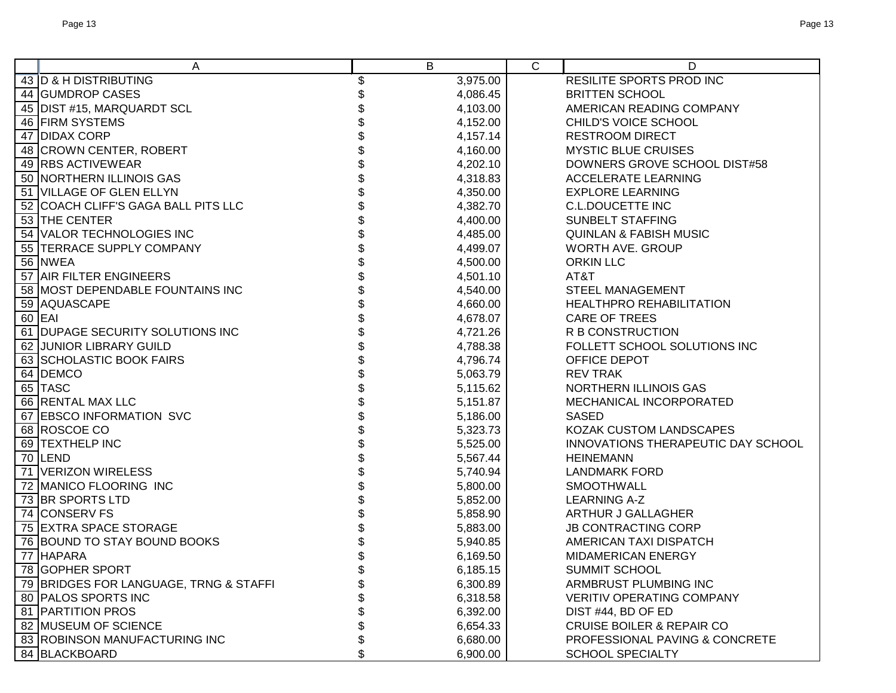| A                                      | B              | C | D                                    |
|----------------------------------------|----------------|---|--------------------------------------|
| 43 D & H DISTRIBUTING                  | \$<br>3,975.00 |   | RESILITE SPORTS PROD INC             |
| 44 GUMDROP CASES                       | 4,086.45       |   | <b>BRITTEN SCHOOL</b>                |
| 45 DIST #15, MARQUARDT SCL             | 4,103.00       |   | AMERICAN READING COMPANY             |
| 46 FIRM SYSTEMS                        | 4,152.00       |   | CHILD'S VOICE SCHOOL                 |
| 47 DIDAX CORP                          | 4,157.14       |   | <b>RESTROOM DIRECT</b>               |
| 48 CROWN CENTER, ROBERT                | 4,160.00       |   | <b>MYSTIC BLUE CRUISES</b>           |
| 49 RBS ACTIVEWEAR                      | 4,202.10       |   | DOWNERS GROVE SCHOOL DIST#58         |
| 50 NORTHERN ILLINOIS GAS               | 4,318.83       |   | <b>ACCELERATE LEARNING</b>           |
| 51 VILLAGE OF GLEN ELLYN               | 4,350.00       |   | <b>EXPLORE LEARNING</b>              |
| 52 COACH CLIFF'S GAGA BALL PITS LLC    | 4,382.70       |   | <b>C.L.DOUCETTE INC</b>              |
| 53 THE CENTER                          | 4,400.00       |   | <b>SUNBELT STAFFING</b>              |
| 54 VALOR TECHNOLOGIES INC              | 4,485.00       |   | <b>QUINLAN &amp; FABISH MUSIC</b>    |
| 55 TERRACE SUPPLY COMPANY              | 4,499.07       |   | WORTH AVE. GROUP                     |
| 56 NWEA                                | 4,500.00       |   | <b>ORKIN LLC</b>                     |
| 57 AIR FILTER ENGINEERS                | 4,501.10       |   | AT&T                                 |
| 58 MOST DEPENDABLE FOUNTAINS INC       | 4,540.00       |   | <b>STEEL MANAGEMENT</b>              |
| 59 AQUASCAPE                           | 4,660.00       |   | <b>HEALTHPRO REHABILITATION</b>      |
| 60 EAI                                 | 4,678.07       |   | <b>CARE OF TREES</b>                 |
| 61 DUPAGE SECURITY SOLUTIONS INC       | 4,721.26       |   | R B CONSTRUCTION                     |
| 62 JUNIOR LIBRARY GUILD                | 4,788.38       |   | FOLLETT SCHOOL SOLUTIONS INC         |
| 63 SCHOLASTIC BOOK FAIRS               | 4,796.74       |   | <b>OFFICE DEPOT</b>                  |
| 64 DEMCO                               | 5,063.79       |   | <b>REV TRAK</b>                      |
| 65 TASC                                | 5,115.62       |   | NORTHERN ILLINOIS GAS                |
| 66 RENTAL MAX LLC                      | 5,151.87       |   | MECHANICAL INCORPORATED              |
| 67 EBSCO INFORMATION SVC               | 5,186.00       |   | <b>SASED</b>                         |
| 68 ROSCOE CO                           | 5,323.73       |   | KOZAK CUSTOM LANDSCAPES              |
| 69 TEXTHELP INC                        | 5,525.00       |   | INNOVATIONS THERAPEUTIC DAY SCHOOL   |
| 70 LEND                                | 5,567.44       |   | <b>HEINEMANN</b>                     |
| 71 VERIZON WIRELESS                    | 5,740.94       |   | <b>LANDMARK FORD</b>                 |
| 72 MANICO FLOORING INC                 | 5,800.00       |   | <b>SMOOTHWALL</b>                    |
| 73 BR SPORTS LTD                       | 5,852.00       |   | <b>LEARNING A-Z</b>                  |
| 74 CONSERV FS                          | 5,858.90       |   | ARTHUR J GALLAGHER                   |
| 75 EXTRA SPACE STORAGE                 | 5,883.00       |   | <b>JB CONTRACTING CORP</b>           |
| 76 BOUND TO STAY BOUND BOOKS           | 5,940.85       |   | AMERICAN TAXI DISPATCH               |
| 77 HAPARA                              | 6,169.50       |   | <b>MIDAMERICAN ENERGY</b>            |
| 78 GOPHER SPORT                        | 6,185.15       |   | SUMMIT SCHOOL                        |
| 79 BRIDGES FOR LANGUAGE, TRNG & STAFFI | 6,300.89       |   | ARMBRUST PLUMBING INC                |
| 80 PALOS SPORTS INC                    | 6,318.58       |   | <b>VERITIV OPERATING COMPANY</b>     |
| 81   PARTITION PROS                    | 6,392.00       |   | DIST #44, BD OF ED                   |
| 82 MUSEUM OF SCIENCE                   | 6,654.33       |   | <b>CRUISE BOILER &amp; REPAIR CO</b> |
| 83 ROBINSON MANUFACTURING INC          | 6,680.00       |   | PROFESSIONAL PAVING & CONCRETE       |
| 84 BLACKBOARD                          | \$<br>6,900.00 |   | <b>SCHOOL SPECIALTY</b>              |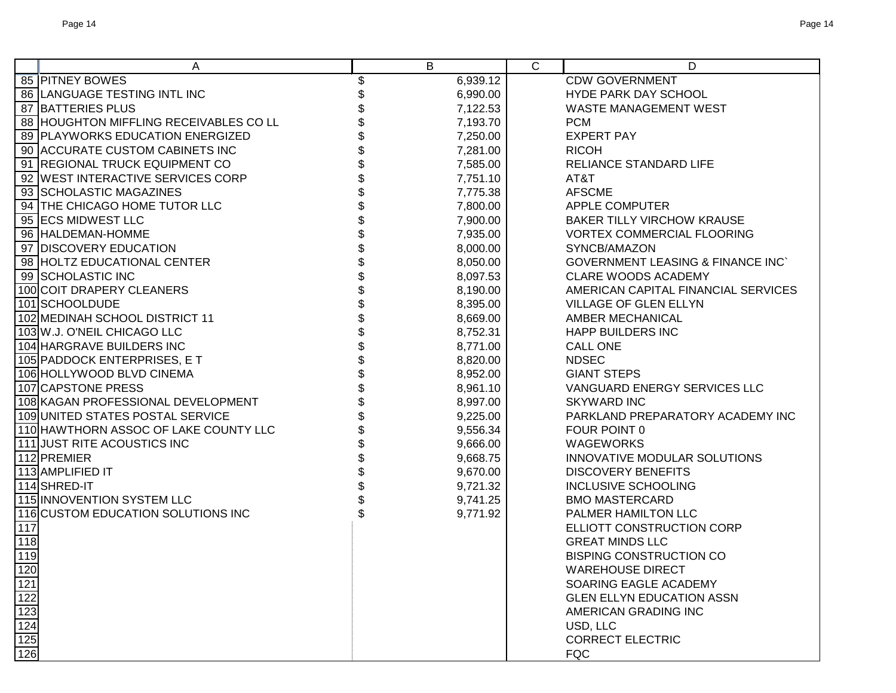|                                               | A                                      | B              | $\mathsf{C}$ | D                                            |
|-----------------------------------------------|----------------------------------------|----------------|--------------|----------------------------------------------|
|                                               | 85 PITNEY BOWES                        | \$<br>6,939.12 |              | <b>CDW GOVERNMENT</b>                        |
|                                               | 86 LANGUAGE TESTING INTL INC           | 6,990.00       |              | HYDE PARK DAY SCHOOL                         |
|                                               | 87 BATTERIES PLUS                      | 7,122.53       |              | <b>WASTE MANAGEMENT WEST</b>                 |
|                                               | 88 HOUGHTON MIFFLING RECEIVABLES CO LL | 7,193.70       |              | <b>PCM</b>                                   |
|                                               | 89 PLAYWORKS EDUCATION ENERGIZED       | 7,250.00       |              | <b>EXPERT PAY</b>                            |
|                                               | 90 ACCURATE CUSTOM CABINETS INC        | 7,281.00       |              | <b>RICOH</b>                                 |
|                                               | 91 REGIONAL TRUCK EQUIPMENT CO         | 7,585.00       |              | RELIANCE STANDARD LIFE                       |
|                                               | 92 WEST INTERACTIVE SERVICES CORP      | 7,751.10       |              | AT&T                                         |
|                                               | 93 SCHOLASTIC MAGAZINES                | 7,775.38       |              | <b>AFSCME</b>                                |
|                                               | 94 THE CHICAGO HOME TUTOR LLC          | 7,800.00       |              | APPLE COMPUTER                               |
|                                               | 95 ECS MIDWEST LLC                     | 7,900.00       |              | <b>BAKER TILLY VIRCHOW KRAUSE</b>            |
|                                               | 96 HALDEMAN-HOMME                      | 7,935.00       |              | <b>VORTEX COMMERCIAL FLOORING</b>            |
|                                               | 97 DISCOVERY EDUCATION                 | 8,000.00       |              | SYNCB/AMAZON                                 |
|                                               | 98 HOLTZ EDUCATIONAL CENTER            | 8,050.00       |              | <b>GOVERNMENT LEASING &amp; FINANCE INC'</b> |
|                                               | 99 SCHOLASTIC INC                      | 8,097.53       |              | <b>CLARE WOODS ACADEMY</b>                   |
|                                               | 100 COIT DRAPERY CLEANERS              | 8,190.00       |              | AMERICAN CAPITAL FINANCIAL SERVICES          |
|                                               | 101 SCHOOLDUDE                         | 8,395.00       |              | VILLAGE OF GLEN ELLYN                        |
|                                               | 102 MEDINAH SCHOOL DISTRICT 11         | 8,669.00       |              | <b>AMBER MECHANICAL</b>                      |
|                                               | 103 W.J. O'NEIL CHICAGO LLC            | 8,752.31       |              | <b>HAPP BUILDERS INC</b>                     |
|                                               | 104 HARGRAVE BUILDERS INC              | 8,771.00       |              | <b>CALL ONE</b>                              |
|                                               | 105 PADDOCK ENTERPRISES, E T           | 8,820.00       |              | <b>NDSEC</b>                                 |
|                                               | 106 HOLLYWOOD BLVD CINEMA              | 8,952.00       |              | <b>GIANT STEPS</b>                           |
|                                               | 107 CAPSTONE PRESS                     | 8,961.10       |              | VANGUARD ENERGY SERVICES LLC                 |
|                                               | 108 KAGAN PROFESSIONAL DEVELOPMENT     | 8,997.00       |              | <b>SKYWARD INC</b>                           |
|                                               | 109 UNITED STATES POSTAL SERVICE       | 9,225.00       |              | PARKLAND PREPARATORY ACADEMY INC             |
|                                               | 110 HAWTHORN ASSOC OF LAKE COUNTY LLC  | 9,556.34       |              | FOUR POINT 0                                 |
|                                               | 111 JUST RITE ACOUSTICS INC            | 9,666.00       |              | <b>WAGEWORKS</b>                             |
|                                               | 112 PREMIER                            | 9,668.75       |              | INNOVATIVE MODULAR SOLUTIONS                 |
|                                               | 113 AMPLIFIED IT                       | 9,670.00       |              | <b>DISCOVERY BENEFITS</b>                    |
|                                               | 114 SHRED-IT                           | 9,721.32       |              | <b>INCLUSIVE SCHOOLING</b>                   |
|                                               | 115 INNOVENTION SYSTEM LLC             | 9,741.25       |              | <b>BMO MASTERCARD</b>                        |
|                                               | 116 CUSTOM EDUCATION SOLUTIONS INC     | 9,771.92       |              | PALMER HAMILTON LLC                          |
| 117                                           |                                        |                |              | ELLIOTT CONSTRUCTION CORP                    |
| 118                                           |                                        |                |              | <b>GREAT MINDS LLC</b>                       |
| 119                                           |                                        |                |              | <b>BISPING CONSTRUCTION CO</b>               |
|                                               |                                        |                |              | <b>WAREHOUSE DIRECT</b>                      |
|                                               |                                        |                |              | SOARING EAGLE ACADEMY                        |
| 120<br>121<br>122<br>123<br>124<br>125<br>126 |                                        |                |              | <b>GLEN ELLYN EDUCATION ASSN</b>             |
|                                               |                                        |                |              | AMERICAN GRADING INC                         |
|                                               |                                        |                |              | USD, LLC                                     |
|                                               |                                        |                |              | <b>CORRECT ELECTRIC</b>                      |
|                                               |                                        |                |              | <b>FQC</b>                                   |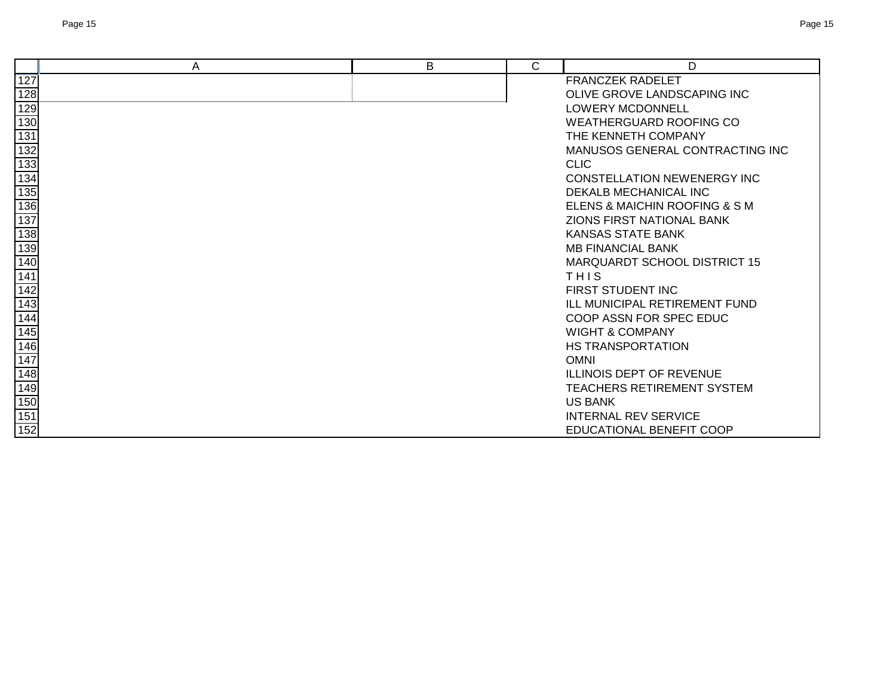|                                                                       | A | B | С | D                                    |
|-----------------------------------------------------------------------|---|---|---|--------------------------------------|
| 127                                                                   |   |   |   | <b>FRANCZEK RADELET</b>              |
| 128                                                                   |   |   |   | OLIVE GROVE LANDSCAPING INC          |
| 129                                                                   |   |   |   | <b>LOWERY MCDONNELL</b>              |
|                                                                       |   |   |   | <b>WEATHERGUARD ROOFING CO</b>       |
|                                                                       |   |   |   | THE KENNETH COMPANY                  |
|                                                                       |   |   |   | MANUSOS GENERAL CONTRACTING INC      |
|                                                                       |   |   |   | <b>CLIC</b>                          |
|                                                                       |   |   |   | <b>CONSTELLATION NEWENERGY INC</b>   |
|                                                                       |   |   |   | DEKALB MECHANICAL INC                |
| $\frac{13}{131}$ $\frac{13}{134}$ $\frac{133}{135}$ $\frac{135}{136}$ |   |   |   | ELENS & MAICHIN ROOFING & S M        |
| 137                                                                   |   |   |   | ZIONS FIRST NATIONAL BANK            |
| 138                                                                   |   |   |   | KANSAS STATE BANK                    |
| 139                                                                   |   |   |   | <b>MB FINANCIAL BANK</b>             |
| 140                                                                   |   |   |   | <b>MARQUARDT SCHOOL DISTRICT 15</b>  |
| 141                                                                   |   |   |   | THIS                                 |
| $\frac{142}{143}$                                                     |   |   |   | FIRST STUDENT INC                    |
|                                                                       |   |   |   | <b>ILL MUNICIPAL RETIREMENT FUND</b> |
|                                                                       |   |   |   | COOP ASSN FOR SPEC EDUC              |
| 145                                                                   |   |   |   | <b>WIGHT &amp; COMPANY</b>           |
| 146                                                                   |   |   |   | <b>HS TRANSPORTATION</b>             |
| 147                                                                   |   |   |   | <b>OMNI</b>                          |
| 148                                                                   |   |   |   | <b>ILLINOIS DEPT OF REVENUE</b>      |
|                                                                       |   |   |   | TEACHERS RETIREMENT SYSTEM           |
| 149<br>150                                                            |   |   |   | <b>US BANK</b>                       |
| 151                                                                   |   |   |   | <b>INTERNAL REV SERVICE</b>          |
| 152                                                                   |   |   |   | <b>EDUCATIONAL BENEFIT COOP</b>      |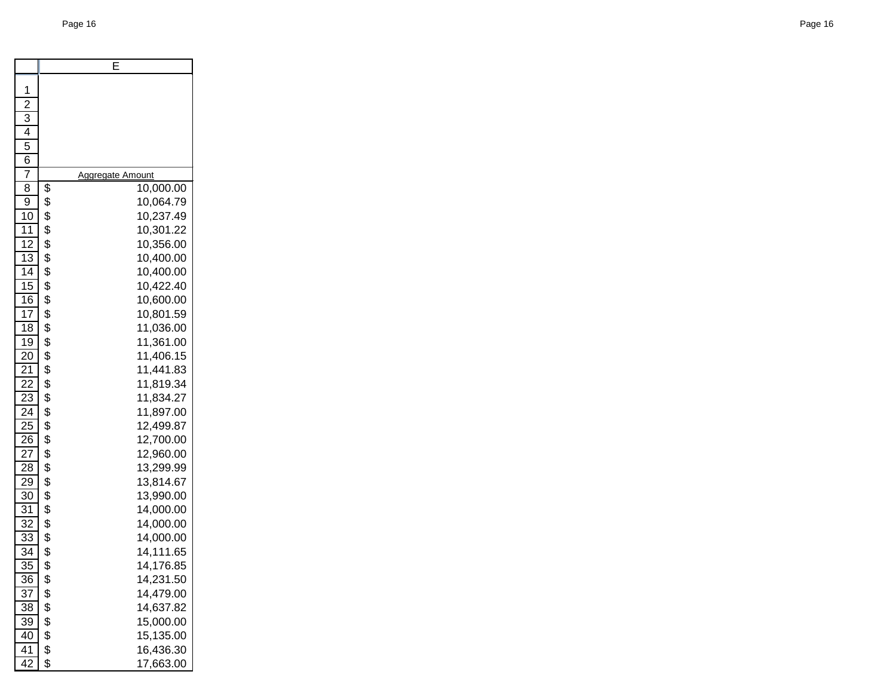|                       |          | E                       |
|-----------------------|----------|-------------------------|
| 1                     |          |                         |
| $\overline{2}$        |          |                         |
| $\overline{3}$        |          |                         |
| 4                     |          |                         |
| 5                     |          |                         |
| 6                     |          |                         |
| 7                     |          | <u>Aggregate Amount</u> |
| $\overline{8}$        | \$       | 10,000.00               |
| 9                     | \$       | 10,064.79               |
| 10                    | \$       | 10,237.49               |
| $1\bar{1}$            | \$       | 10,301.22               |
| $\overline{12}$       | \$       | 10,356.00               |
| $\overline{1}3$       | \$       | 10,400.00               |
| $\overline{14}$       | \$       | 10,400.00               |
| $\overline{15}$       | \$       | 10,422.40               |
| $\overline{16}$       | \$       | 10,600.00               |
| $\overline{17}$       | \$       | 10,801.59               |
| $\overline{18}$       | \$       | 11,036.00               |
| $\overline{19}$       | \$       | 11,361.00               |
| 20                    | \$       | 11,406.15               |
| $\frac{21}{2}$        | \$       | 11,441.83               |
| 22                    | \$       | 11,819.34               |
| $2\overline{3}$       | \$       | 11,834.27               |
| 24                    | \$       | 11,897.00               |
| $\frac{25}{5}$        | \$       | 12,499.87               |
| $\overline{26}$       | \$       | 12,700.00               |
| $\frac{27}{2}$        | \$       | 12,960.00               |
| 28                    | \$       | 13,299.99               |
| 29                    | \$       | 13,814.67               |
| 30                    | \$       | 13,990.00               |
| 31<br>$\overline{32}$ | \$<br>\$ | 14,000.00               |
| $\overline{33}$       | \$       | 14,000.00<br>14,000.00  |
| 34                    | \$       | 14,111.65               |
| $\overline{35}$       | \$       | 14,176.85               |
| 36                    | \$       | 14,231.50               |
| 37                    | \$       | 14,479.00               |
| 38                    | \$       | 14,637.82               |
| 39                    | \$       | 15,000.00               |
| 40                    | \$       | 15,135.00               |
| 41                    | \$       | 16,436.30               |
| 42                    | \$       | 17,663.00               |
|                       |          |                         |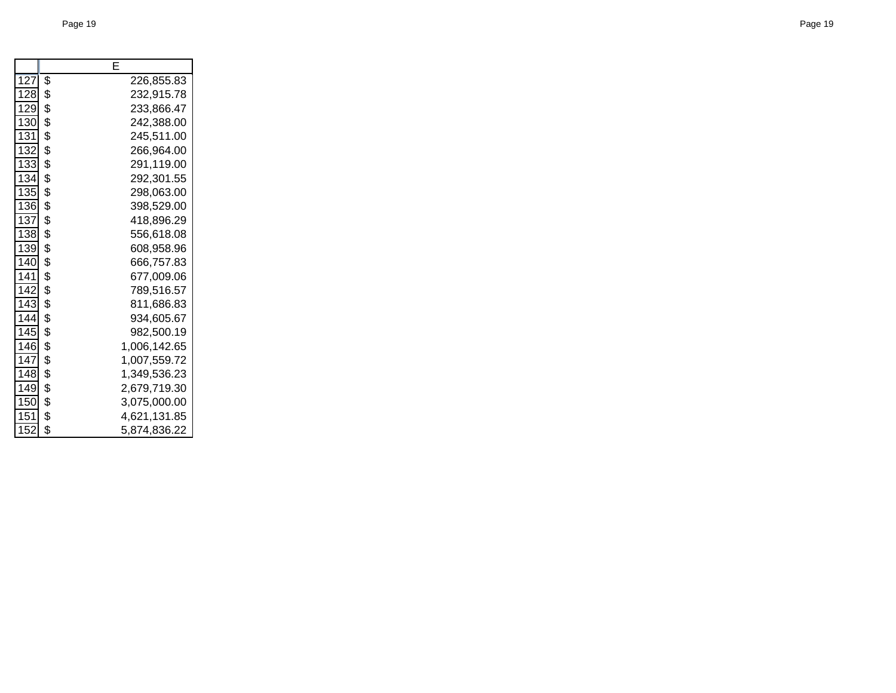|     | E                  |
|-----|--------------------|
| 127 | \$<br>226,855.83   |
| 128 | \$<br>232,915.78   |
| 129 | \$<br>233,866.47   |
| 130 | \$<br>242,388.00   |
| 131 | \$<br>245,511.00   |
| 132 | \$<br>266,964.00   |
| 133 | \$<br>291,119.00   |
| 134 | \$<br>292,301.55   |
| 135 | \$<br>298,063.00   |
| 136 | \$<br>398,529.00   |
| 137 | \$<br>418,896.29   |
| 138 | \$<br>556,618.08   |
| 139 | \$<br>608,958.96   |
| 140 | \$<br>666,757.83   |
| 141 | \$<br>677,009.06   |
| 142 | \$<br>789,516.57   |
| 143 | \$<br>811,686.83   |
| 144 | \$<br>934,605.67   |
| 145 | \$<br>982,500.19   |
| 146 | \$<br>1,006,142.65 |
| 147 | \$<br>1,007,559.72 |
| 148 | \$<br>1,349,536.23 |
| 149 | \$<br>2,679,719.30 |
| 150 | \$<br>3,075,000.00 |
| 151 | \$<br>4,621,131.85 |
| 152 | \$<br>5,874,836.22 |
|     |                    |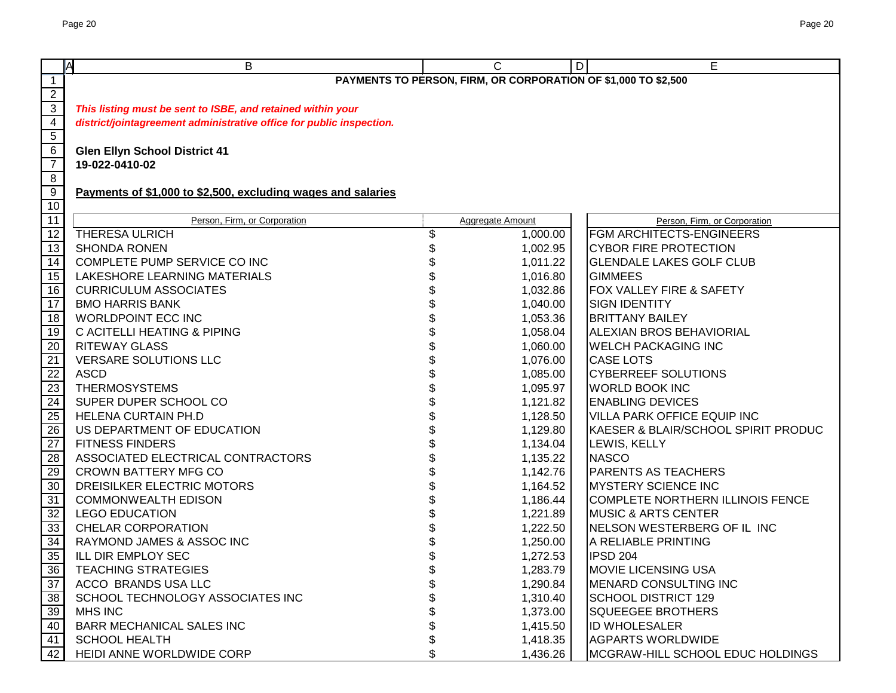|                 | A<br>B                                                               | C                                                              | D<br>Е                              |
|-----------------|----------------------------------------------------------------------|----------------------------------------------------------------|-------------------------------------|
| $\mathbf{1}$    |                                                                      | PAYMENTS TO PERSON, FIRM, OR CORPORATION OF \$1,000 TO \$2,500 |                                     |
| $\overline{2}$  |                                                                      |                                                                |                                     |
| $\overline{3}$  | This listing must be sent to ISBE, and retained within your          |                                                                |                                     |
| $\overline{4}$  | district/jointagreement administrative office for public inspection. |                                                                |                                     |
| $5\phantom{.0}$ |                                                                      |                                                                |                                     |
| $6\phantom{.}6$ | <b>Glen Ellyn School District 41</b>                                 |                                                                |                                     |
| $\overline{7}$  | 19-022-0410-02                                                       |                                                                |                                     |
| 8               |                                                                      |                                                                |                                     |
| $\overline{9}$  | Payments of \$1,000 to \$2,500, excluding wages and salaries         |                                                                |                                     |
| 10              |                                                                      |                                                                |                                     |
| $\overline{11}$ | Person, Firm, or Corporation                                         | <b>Aggregate Amount</b>                                        | Person, Firm, or Corporation        |
| $\overline{12}$ | <b>THERESA ULRICH</b>                                                | \$<br>1,000.00                                                 | <b>FGM ARCHITECTS-ENGINEERS</b>     |
| 13              | <b>SHONDA RONEN</b>                                                  | \$<br>1,002.95                                                 | <b>CYBOR FIRE PROTECTION</b>        |
| $\overline{14}$ | COMPLETE PUMP SERVICE CO INC                                         | 1,011.22                                                       | <b>GLENDALE LAKES GOLF CLUB</b>     |
| 15              | LAKESHORE LEARNING MATERIALS                                         | 1,016.80                                                       | <b>GIMMEES</b>                      |
| 16              | <b>CURRICULUM ASSOCIATES</b>                                         | 1,032.86                                                       | <b>FOX VALLEY FIRE &amp; SAFETY</b> |
| $\overline{17}$ | <b>BMO HARRIS BANK</b>                                               | 1,040.00                                                       | <b>SIGN IDENTITY</b>                |
| 18              | <b>WORLDPOINT ECC INC</b>                                            | 1,053.36                                                       | <b>BRITTANY BAILEY</b>              |
| 19              | C ACITELLI HEATING & PIPING                                          | 1,058.04                                                       | <b>ALEXIAN BROS BEHAVIORIAL</b>     |
| 20              | <b>RITEWAY GLASS</b>                                                 | 1,060.00                                                       | <b>WELCH PACKAGING INC</b>          |
| 21              | VERSARE SOLUTIONS LLC                                                | 1,076.00                                                       | <b>CASE LOTS</b>                    |
| 22              | <b>ASCD</b>                                                          | 1,085.00                                                       | <b>CYBERREEF SOLUTIONS</b>          |
| 23              | <b>THERMOSYSTEMS</b>                                                 | 1,095.97                                                       | <b>WORLD BOOK INC</b>               |
| $\overline{24}$ | SUPER DUPER SCHOOL CO                                                | 1,121.82                                                       | <b>ENABLING DEVICES</b>             |
| $\overline{25}$ | HELENA CURTAIN PH.D                                                  | \$<br>1,128.50                                                 | <b>VILLA PARK OFFICE EQUIP INC</b>  |
| $\overline{26}$ | US DEPARTMENT OF EDUCATION                                           | \$<br>1,129.80                                                 | KAESER & BLAIR/SCHOOL SPIRIT PRODUC |
| $\overline{27}$ | <b>FITNESS FINDERS</b>                                               | \$<br>1,134.04                                                 | LEWIS, KELLY                        |
| 28              | ASSOCIATED ELECTRICAL CONTRACTORS                                    | 1,135.22                                                       | <b>NASCO</b>                        |
| 29              | <b>CROWN BATTERY MFG CO</b>                                          | 1,142.76                                                       | <b>PARENTS AS TEACHERS</b>          |
| 30              | DREISILKER ELECTRIC MOTORS                                           | 1,164.52                                                       | <b>MYSTERY SCIENCE INC</b>          |
| 31              | <b>COMMONWEALTH EDISON</b>                                           | 1,186.44                                                       | COMPLETE NORTHERN ILLINOIS FENCE    |
| 32              | <b>LEGO EDUCATION</b>                                                | 1,221.89                                                       | <b>MUSIC &amp; ARTS CENTER</b>      |
| 33              | <b>CHELAR CORPORATION</b>                                            | 1,222.50                                                       | NELSON WESTERBERG OF IL INC         |
| 34              | RAYMOND JAMES & ASSOC INC                                            | 1,250.00                                                       | A RELIABLE PRINTING                 |
| 35              | ILL DIR EMPLOY SEC                                                   | \$<br>1,272.53                                                 | <b>IPSD 204</b>                     |
| 36              | <b>TEACHING STRATEGIES</b>                                           | \$<br>1,283.79                                                 | <b>MOVIE LICENSING USA</b>          |
| 37              | ACCO BRANDS USA LLC                                                  | 1,290.84                                                       | <b>IMENARD CONSULTING INC</b>       |
| 38              | SCHOOL TECHNOLOGY ASSOCIATES INC                                     | 1,310.40                                                       | SCHOOL DISTRICT 129                 |
| 39              | <b>MHS INC</b>                                                       | 1,373.00                                                       | <b>SQUEEGEE BROTHERS</b>            |
| 40              | <b>BARR MECHANICAL SALES INC</b>                                     | \$<br>1,415.50                                                 | <b>ID WHOLESALER</b>                |
| 41              | <b>SCHOOL HEALTH</b>                                                 | \$<br>1,418.35                                                 | <b>AGPARTS WORLDWIDE</b>            |
| 42              | HEIDI ANNE WORLDWIDE CORP                                            | \$<br>1,436.26                                                 | MCGRAW-HILL SCHOOL EDUC HOLDINGS    |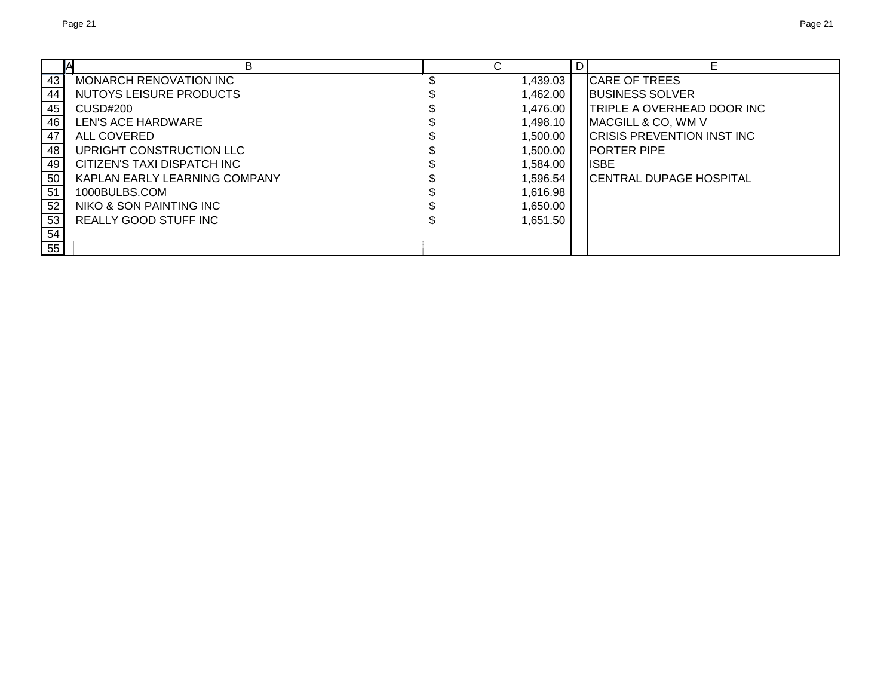|                               | ⌒        | D |                                    |  |
|-------------------------------|----------|---|------------------------------------|--|
| MONARCH RENOVATION INC        | 1,439.03 |   | <b>CARE OF TREES</b>               |  |
| NUTOYS LEISURE PRODUCTS       | 1.462.00 |   | <b>IBUSINESS SOLVER</b>            |  |
| CUSD#200                      | 1,476.00 |   | <b>TRIPLE A OVERHEAD DOOR INC</b>  |  |
| LEN'S ACE HARDWARE            | 1,498.10 |   | MACGILL & CO, WM V                 |  |
| ALL COVERED                   | 1,500.00 |   | <b>ICRISIS PREVENTION INST INC</b> |  |
| UPRIGHT CONSTRUCTION LLC      | 1,500.00 |   | <b>IPORTER PIPE</b>                |  |
| CITIZEN'S TAXI DISPATCH INC   | 1,584.00 |   | <b>IISBE</b>                       |  |
| KAPLAN EARLY LEARNING COMPANY | 1.596.54 |   | <b>CENTRAL DUPAGE HOSPITAL</b>     |  |
| 1000BULBS.COM                 | 1,616.98 |   |                                    |  |
| NIKO & SON PAINTING INC       | 1,650.00 |   |                                    |  |
| REALLY GOOD STUFF INC         | 1,651.50 |   |                                    |  |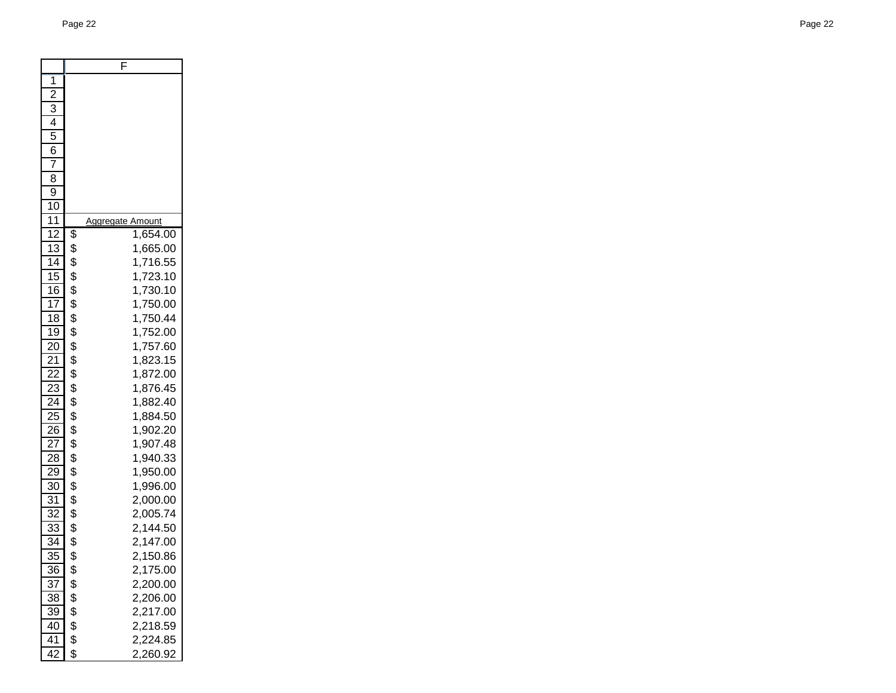|                 | F                                 |
|-----------------|-----------------------------------|
| 1               |                                   |
| $\overline{2}$  |                                   |
| $\overline{3}$  |                                   |
| 4               |                                   |
| 5               |                                   |
| 6               |                                   |
| 7               |                                   |
| 8               |                                   |
| 9               |                                   |
| 10              |                                   |
| 11              | <b>Aggregate</b><br><b>Amount</b> |
| 12              | \$<br>1,654.00                    |
| 13              | \$<br>1,665.00                    |
| $\overline{14}$ | \$<br>1,716.55                    |
| 15              | \$<br>1,723.10                    |
| $\overline{16}$ | \$<br>1,730.10                    |
| $\overline{17}$ | \$<br>1,750.00                    |
| 18              | \$<br>1,750.44                    |
| 19              | \$<br>1,752.00                    |
| $\overline{20}$ | \$<br>1,757.60                    |
| $\overline{21}$ | \$<br>1,823.15                    |
| $\overline{22}$ | \$<br>1,872.00                    |
| $\overline{23}$ | \$<br>1,876.45                    |
| $2\overline{4}$ | \$<br>1,882.40                    |
| $2\overline{5}$ | \$<br>1,884.50                    |
| 26              | \$<br>1,902.20                    |
| 27              | \$<br>1,907.48                    |
| 28              | \$<br>1,940.33                    |
| 29              | \$<br>1,950.00                    |
| 30              | \$<br>1,996.00                    |
| $\overline{31}$ | \$<br>2,000.00                    |
| $\overline{32}$ | \$<br>2,005.74                    |
| $\overline{33}$ | \$<br>2,144.50                    |
| $\overline{34}$ | \$<br>2,147.00                    |
| $\overline{35}$ | \$<br>2,150.86                    |
| $\overline{36}$ | \$<br>2,<br>175.00                |
| 37              | \$<br>2,200.00                    |
| 38              | \$<br>2,206.00                    |
| 39              | \$<br>2,217.00                    |
| 40              | \$<br>2,218.59                    |
| 41              | \$<br>2,224.85                    |
| 42              | \$<br>2,260.92                    |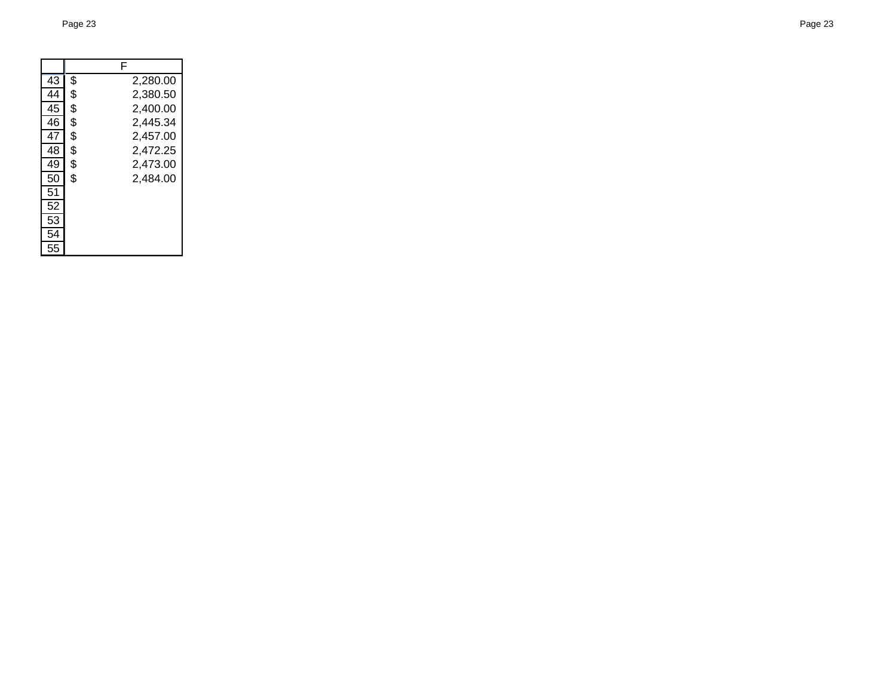|    | F              |
|----|----------------|
| 43 | \$<br>2,280.00 |
| 44 | \$<br>2,380.50 |
| 45 | \$<br>2,400.00 |
| 46 | \$<br>2,445.34 |
| 47 | \$<br>2,457.00 |
| 48 | \$<br>2,472.25 |
| 49 | \$<br>2,473.00 |
| 50 | \$<br>2,484.00 |
| 51 |                |
| 52 |                |
| 53 |                |
| 54 |                |
| 55 |                |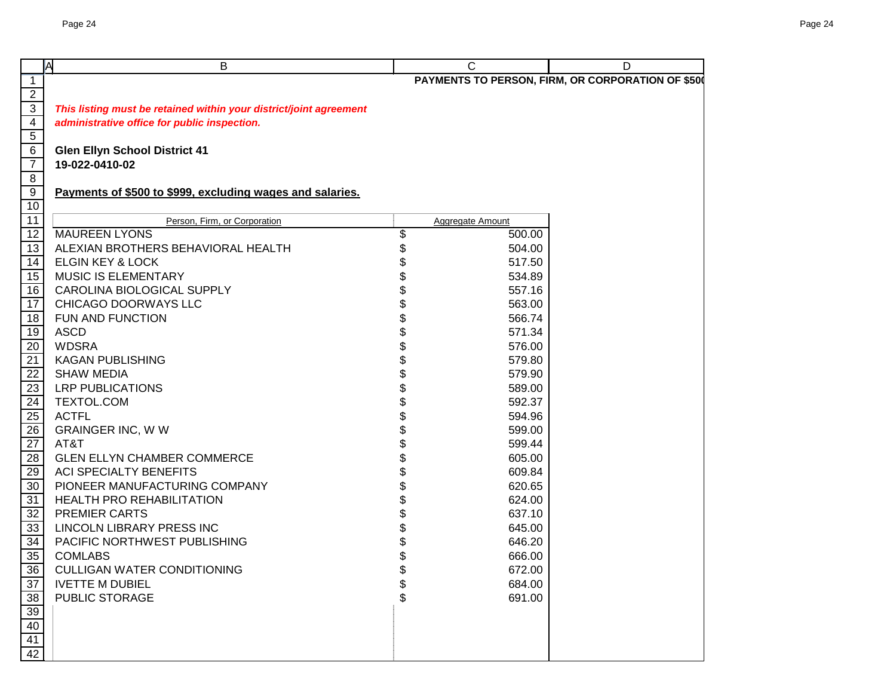|                                    | A<br>B                                                             | C                       | D                                                 |
|------------------------------------|--------------------------------------------------------------------|-------------------------|---------------------------------------------------|
| $\overline{1}$                     |                                                                    |                         | PAYMENTS TO PERSON, FIRM, OR CORPORATION OF \$500 |
| $\frac{2}{3}$                      |                                                                    |                         |                                                   |
|                                    | This listing must be retained within your district/joint agreement |                         |                                                   |
| $\overline{4}$                     | administrative office for public inspection.                       |                         |                                                   |
| $\overline{5}$                     |                                                                    |                         |                                                   |
| 6                                  | <b>Glen Ellyn School District 41</b>                               |                         |                                                   |
| $\overline{7}$                     | 19-022-0410-02                                                     |                         |                                                   |
| $8\phantom{1}$                     |                                                                    |                         |                                                   |
| $\overline{9}$                     | Payments of \$500 to \$999, excluding wages and salaries.          |                         |                                                   |
| 10                                 |                                                                    |                         |                                                   |
| 11                                 | Person, Firm, or Corporation                                       | <b>Aggregate Amount</b> |                                                   |
| 12                                 | <b>MAUREEN LYONS</b>                                               | \$<br>500.00            |                                                   |
| 13                                 | ALEXIAN BROTHERS BEHAVIORAL HEALTH                                 | \$<br>504.00            |                                                   |
| 14                                 | <b>ELGIN KEY &amp; LOCK</b>                                        | 517.50                  |                                                   |
| 15                                 | MUSIC IS ELEMENTARY                                                | 534.89                  |                                                   |
| 16                                 | CAROLINA BIOLOGICAL SUPPLY                                         | 557.16                  |                                                   |
| 17                                 | CHICAGO DOORWAYS LLC                                               | 563.00                  |                                                   |
| 18                                 | FUN AND FUNCTION                                                   | 566.74                  |                                                   |
| $\frac{19}{20}$<br>$\frac{20}{21}$ | <b>ASCD</b>                                                        | 571.34                  |                                                   |
|                                    | <b>WDSRA</b>                                                       | 576.00                  |                                                   |
|                                    | <b>KAGAN PUBLISHING</b>                                            | 579.80                  |                                                   |
| $\overline{22}$                    | <b>SHAW MEDIA</b>                                                  | 579.90                  |                                                   |
| 23                                 | <b>LRP PUBLICATIONS</b>                                            | 589.00                  |                                                   |
| 24                                 | TEXTOL.COM                                                         | 592.37                  |                                                   |
|                                    | <b>ACTFL</b>                                                       | 594.96                  |                                                   |
| $\frac{25}{26}$                    | <b>GRAINGER INC, W W</b>                                           | 599.00                  |                                                   |
| $\frac{12}{27}$                    | AT&T                                                               | \$<br>599.44            |                                                   |
|                                    | <b>GLEN ELLYN CHAMBER COMMERCE</b>                                 | \$<br>605.00            |                                                   |
| 29                                 | <b>ACI SPECIALTY BENEFITS</b>                                      | \$<br>609.84            |                                                   |
| 30 <sup>°</sup>                    | PIONEER MANUFACTURING COMPANY                                      | \$<br>620.65            |                                                   |
| 31                                 | HEALTH PRO REHABILITATION                                          | \$<br>624.00            |                                                   |
| 32                                 | PREMIER CARTS                                                      | 637.10                  |                                                   |
| 33 <sup>2</sup>                    | LINCOLN LIBRARY PRESS INC                                          | 645.00                  |                                                   |
| 34                                 | PACIFIC NORTHWEST PUBLISHING                                       | 646.20                  |                                                   |
| 35                                 | <b>COMLABS</b>                                                     | \$<br>666.00            |                                                   |
| <u>36</u>                          | <b>CULLIGAN WATER CONDITIONING</b>                                 | \$<br>672.00            |                                                   |
| $\frac{37}{38}$<br>$\frac{39}{40}$ | <b>IVETTE M DUBIEL</b>                                             | \$<br>684.00            |                                                   |
|                                    | PUBLIC STORAGE                                                     | \$<br>691.00            |                                                   |
|                                    |                                                                    |                         |                                                   |
|                                    |                                                                    |                         |                                                   |
| $\frac{41}{42}$                    |                                                                    |                         |                                                   |
|                                    |                                                                    |                         |                                                   |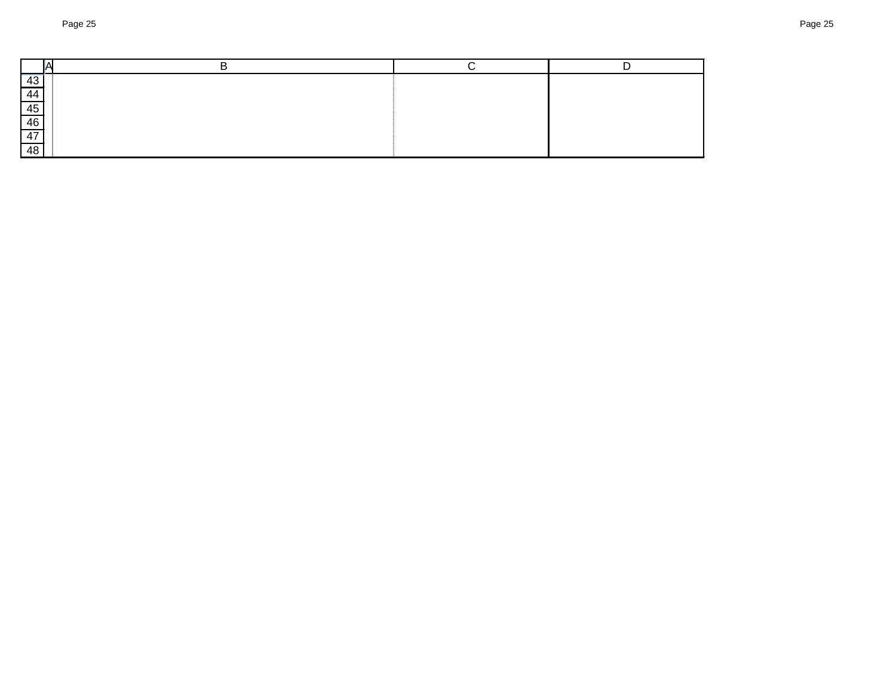| $\overline{43}$ |  |  |
|-----------------|--|--|
| 44              |  |  |
| 45              |  |  |
| 46              |  |  |
| 47              |  |  |
| 48              |  |  |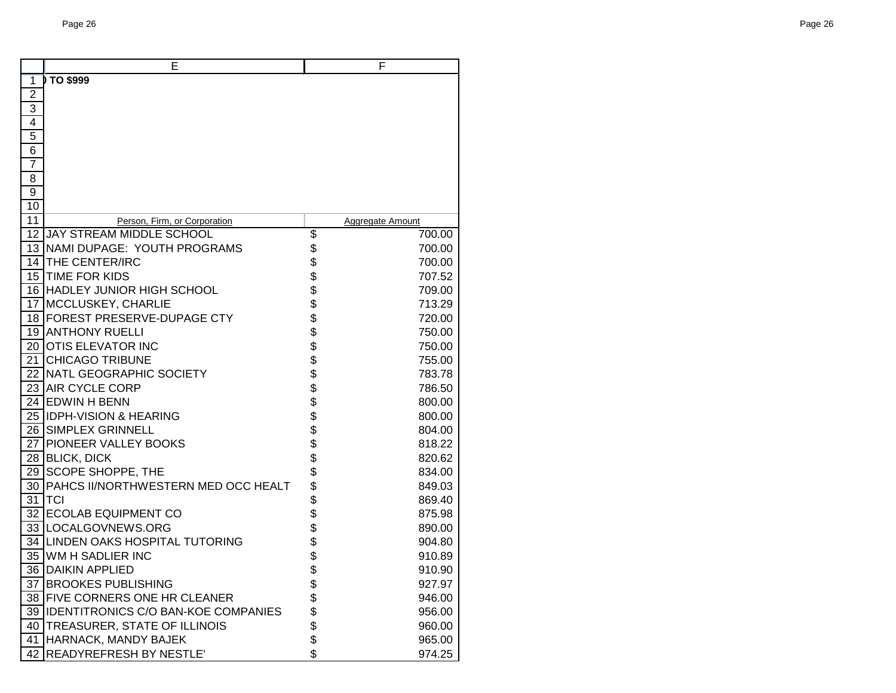| E                                      | F                |
|----------------------------------------|------------------|
| TO \$999<br>1                          |                  |
| $\overline{2}$                         |                  |
| $\overline{3}$                         |                  |
| 4                                      |                  |
| $\overline{5}$                         |                  |
| $\overline{6}$                         |                  |
| $\overline{7}$                         |                  |
| 8                                      |                  |
| $\overline{9}$                         |                  |
| 10                                     |                  |
| 11<br>Person, Firm, or Corporation     | Aggregate Amount |
| JAY STREAM MIDDLE SCHOOL<br>12         | \$<br>700.00     |
| 13 NAMI DUPAGE: YOUTH PROGRAMS         | \$<br>700.00     |
| 14 THE CENTER/IRC                      | \$<br>700.00     |
| 15 TIME FOR KIDS                       | \$<br>707.52     |
| 16 HADLEY JUNIOR HIGH SCHOOL           | \$<br>709.00     |
| 17 MCCLUSKEY, CHARLIE                  | \$<br>713.29     |
| 18 FOREST PRESERVE-DUPAGE CTY          | \$<br>720.00     |
| 19 ANTHONY RUELLI                      | \$<br>750.00     |
| 20 OTIS ELEVATOR INC                   | \$<br>750.00     |
| 21 CHICAGO TRIBUNE                     | \$<br>755.00     |
| 22 NATL GEOGRAPHIC SOCIETY             | \$<br>783.78     |
| 23 AIR CYCLE CORP                      | \$<br>786.50     |
| 24 EDWIN H BENN                        | \$<br>800.00     |
| 25 IDPH-VISION & HEARING               | \$<br>800.00     |
| 26 SIMPLEX GRINNELL                    | \$<br>804.00     |
| 27 PIONEER VALLEY BOOKS                | \$<br>818.22     |
| 28 BLICK, DICK                         | \$<br>820.62     |
| 29 SCOPE SHOPPE, THE                   | \$<br>834.00     |
| 30 PAHCS II/NORTHWESTERN MED OCC HEALT | \$<br>849.03     |
| 31 TCI                                 | \$<br>869.40     |
| 32 ECOLAB EQUIPMENT CO                 | \$<br>875.98     |
| 33 LOCALGOVNEWS.ORG                    | \$<br>890.00     |
| 34 LINDEN OAKS HOSPITAL TUTORING       | \$<br>904.80     |
| 35 WM H SADLIER INC                    | \$<br>910.89     |
| 36 DAIKIN APPLIED                      | \$<br>910.90     |
| 37 BROOKES PUBLISHING                  | \$<br>927.97     |
| 38 FIVE CORNERS ONE HR CLEANER         | \$<br>946.00     |
| 39 IDENTITRONICS C/O BAN-KOE COMPANIES | \$<br>956.00     |
| 40 TREASURER, STATE OF ILLINOIS        | \$<br>960.00     |
| 41 HARNACK, MANDY BAJEK                | \$<br>965.00     |
| 42 READYREFRESH BY NESTLE'             | \$<br>974.25     |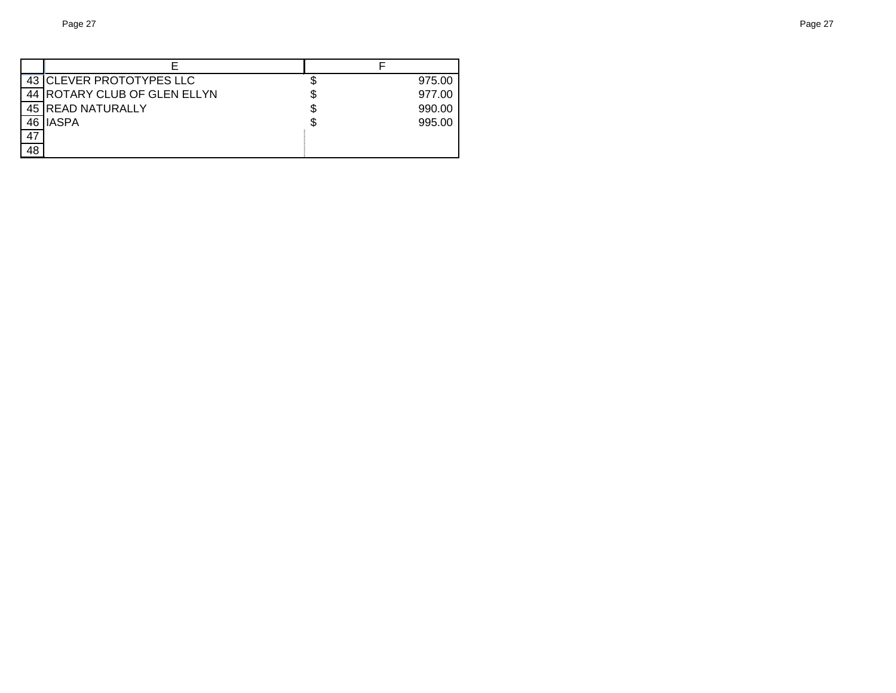|    | 43 CLEVER PROTOTYPES LLC     |   | 975.00 |
|----|------------------------------|---|--------|
|    | 44 ROTARY CLUB OF GLEN ELLYN |   | 977.00 |
|    | 45 READ NATURALLY            | S | 990.00 |
|    | 46 IASPA                     |   | 995.00 |
| 47 |                              |   |        |
| 48 |                              |   |        |